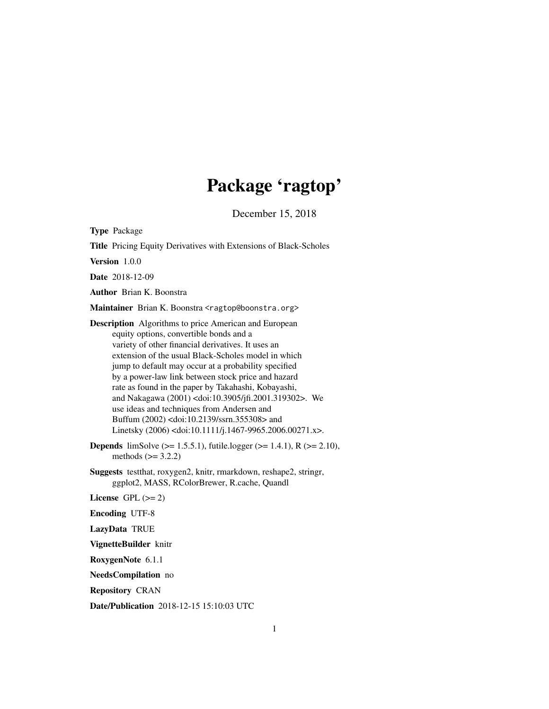# Package 'ragtop'

December 15, 2018

Type Package

Title Pricing Equity Derivatives with Extensions of Black-Scholes

Version 1.0.0

Date 2018-12-09

Author Brian K. Boonstra

Maintainer Brian K. Boonstra <ragtop@boonstra.org>

Description Algorithms to price American and European equity options, convertible bonds and a variety of other financial derivatives. It uses an extension of the usual Black-Scholes model in which jump to default may occur at a probability specified by a power-law link between stock price and hazard rate as found in the paper by Takahashi, Kobayashi, and Nakagawa (2001) <doi:10.3905/jfi.2001.319302>. We use ideas and techniques from Andersen and Buffum (2002) <doi:10.2139/ssrn.355308> and Linetsky (2006) <doi:10.1111/j.1467-9965.2006.00271.x>.

- **Depends** limSolve ( $> = 1.5.5.1$ ), futile.logger ( $> = 1.4.1$ ), R ( $> = 2.10$ ), methods  $(>= 3.2.2)$
- Suggests testthat, roxygen2, knitr, rmarkdown, reshape2, stringr, ggplot2, MASS, RColorBrewer, R.cache, Quandl

License GPL  $(>= 2)$ 

Encoding UTF-8

LazyData TRUE

VignetteBuilder knitr

RoxygenNote 6.1.1

NeedsCompilation no

Repository CRAN

Date/Publication 2018-12-15 15:10:03 UTC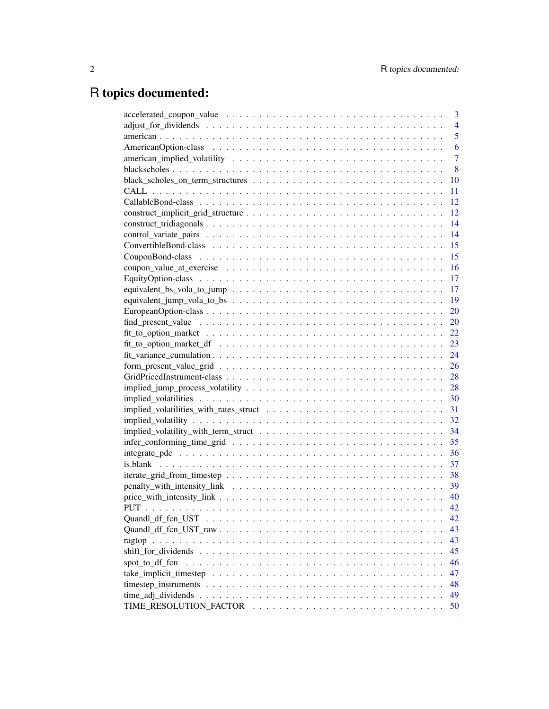# R topics documented:

|                                                                                                            | 3              |
|------------------------------------------------------------------------------------------------------------|----------------|
|                                                                                                            | $\overline{4}$ |
|                                                                                                            | 5              |
|                                                                                                            | 6              |
|                                                                                                            | $\overline{7}$ |
|                                                                                                            | 8              |
|                                                                                                            | 10             |
|                                                                                                            | 11             |
|                                                                                                            | 12             |
|                                                                                                            | 12             |
|                                                                                                            | 14             |
|                                                                                                            | 14             |
|                                                                                                            | 15             |
|                                                                                                            | 15             |
|                                                                                                            | 16             |
|                                                                                                            | 17             |
|                                                                                                            | 17             |
|                                                                                                            | 19             |
|                                                                                                            | 20             |
|                                                                                                            | 20             |
|                                                                                                            | 22             |
|                                                                                                            | 23             |
|                                                                                                            | 24             |
|                                                                                                            | 26             |
|                                                                                                            | 28             |
|                                                                                                            | 28             |
|                                                                                                            | 30             |
|                                                                                                            | 31             |
|                                                                                                            | 32             |
|                                                                                                            | 34             |
|                                                                                                            | 35             |
|                                                                                                            | 36             |
|                                                                                                            | 37             |
|                                                                                                            | 38             |
|                                                                                                            | 39             |
|                                                                                                            |                |
|                                                                                                            | 42             |
|                                                                                                            | 42             |
|                                                                                                            | 43             |
|                                                                                                            | 43             |
|                                                                                                            | 45             |
| spot_to_df_fcn                                                                                             | 46             |
|                                                                                                            | 47             |
|                                                                                                            | 48             |
| $time\_adj\_dividends \dots \dots \dots \dots \dots \dots \dots \dots \dots \dots \dots \dots \dots \dots$ | 49             |
|                                                                                                            | 50             |
|                                                                                                            |                |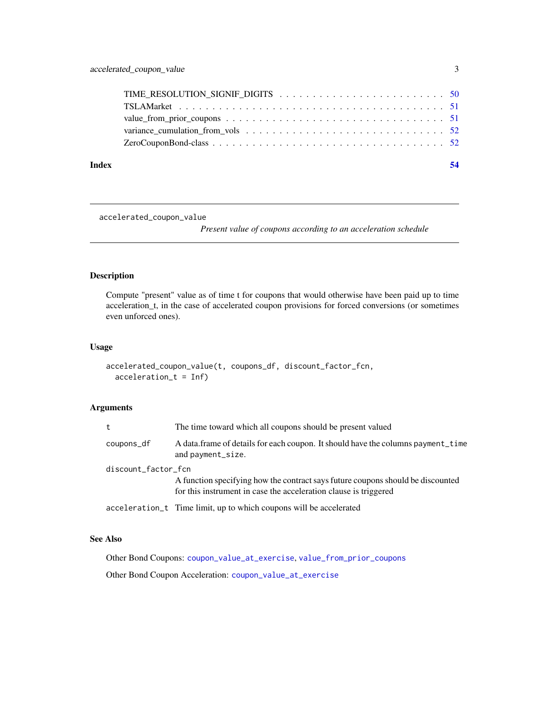<span id="page-2-0"></span>

| Index |  |
|-------|--|
|       |  |
|       |  |
|       |  |
|       |  |
|       |  |

<span id="page-2-1"></span>accelerated\_coupon\_value

*Present value of coupons according to an acceleration schedule*

### Description

Compute "present" value as of time t for coupons that would otherwise have been paid up to time acceleration\_t, in the case of accelerated coupon provisions for forced conversions (or sometimes even unforced ones).

### Usage

```
accelerated_coupon_value(t, coupons_df, discount_factor_fcn,
  acceleration_t = Inf)
```
#### Arguments

| t                   | The time toward which all coupons should be present valued                                                                                          |  |
|---------------------|-----------------------------------------------------------------------------------------------------------------------------------------------------|--|
| coupons_df          | A data frame of details for each coupon. It should have the columns payment time<br>and payment_size.                                               |  |
| discount_factor_fcn |                                                                                                                                                     |  |
|                     | A function specifying how the contract says future coupons should be discounted<br>for this instrument in case the acceleration clause is triggered |  |
|                     | acceleration_t Time limit, up to which coupons will be accelerated                                                                                  |  |

#### See Also

Other Bond Coupons: [coupon\\_value\\_at\\_exercise](#page-15-1), [value\\_from\\_prior\\_coupons](#page-50-1)

Other Bond Coupon Acceleration: [coupon\\_value\\_at\\_exercise](#page-15-1)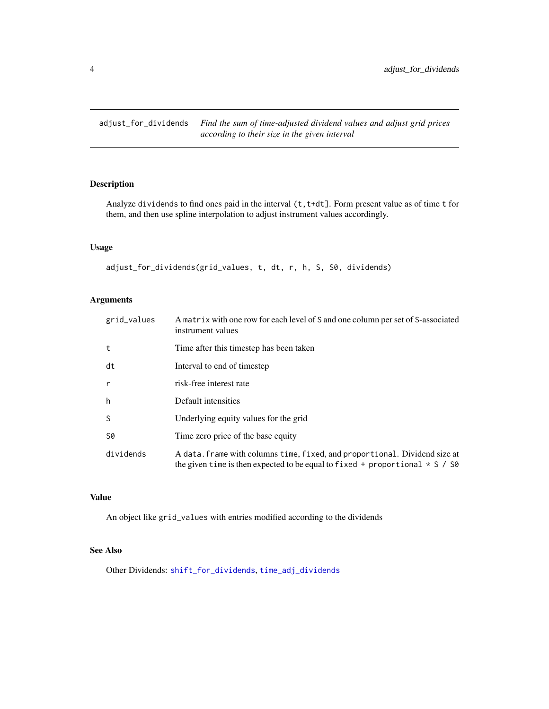<span id="page-3-1"></span><span id="page-3-0"></span>adjust\_for\_dividends *Find the sum of time-adjusted dividend values and adjust grid prices according to their size in the given interval*

### Description

Analyze dividends to find ones paid in the interval (t,t+dt]. Form present value as of time t for them, and then use spline interpolation to adjust instrument values accordingly.

### Usage

```
adjust_for_dividends(grid_values, t, dt, r, h, S, S0, dividends)
```
### Arguments

| grid_values | A matrix with one row for each level of S and one column per set of S-associated<br>instrument values                                                            |
|-------------|------------------------------------------------------------------------------------------------------------------------------------------------------------------|
| t           | Time after this timestep has been taken                                                                                                                          |
| dt          | Interval to end of timestep                                                                                                                                      |
| r           | risk-free interest rate                                                                                                                                          |
| h           | Default intensities                                                                                                                                              |
| S           | Underlying equity values for the grid                                                                                                                            |
| S0          | Time zero price of the base equity                                                                                                                               |
| dividends   | A data. frame with columns time, fixed, and proportional. Dividend size at<br>the given time is then expected to be equal to fixed + proportional $\star$ S / S0 |

### Value

An object like grid\_values with entries modified according to the dividends

#### See Also

Other Dividends: [shift\\_for\\_dividends](#page-44-1), [time\\_adj\\_dividends](#page-48-1)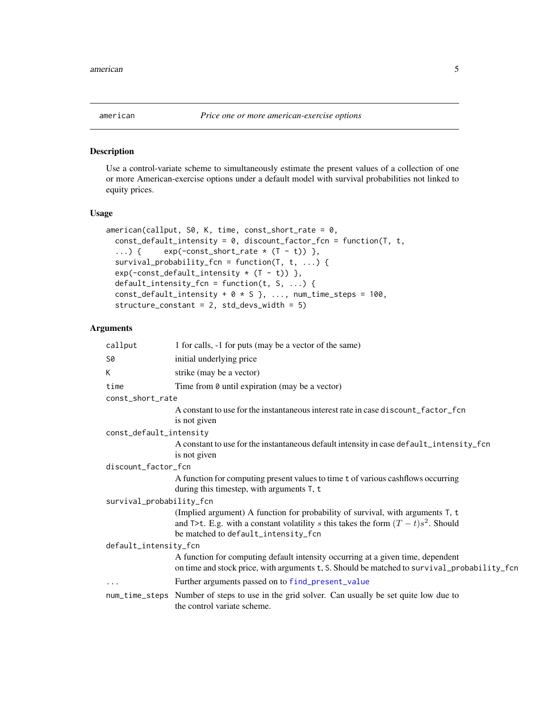<span id="page-4-1"></span><span id="page-4-0"></span>

#### Description

Use a control-variate scheme to simultaneously estimate the present values of a collection of one or more American-exercise options under a default model with survival probabilities not linked to equity prices.

#### Usage

```
american(callput, S0, K, time, const\_short_rate = 0,const_default_intensity = 0, discount_factor_fcn = function(T, t,
  ...) { exp(-const\_short\_rate * (T - t)) },
  survival_probability_fcn = function(T, t, ...) {
 exp(-const\_default\_intensity * (T - t)),
 default_intensity_fcn = function(t, S, ...) {
 const_default_intensity + 0 \times S }, ..., num_time_steps = 100,
  structure_constant = 2, std_devs_width = 5)
```

| callput                  | 1 for calls, -1 for puts (may be a vector of the same)                                                                                                                                                        |  |
|--------------------------|---------------------------------------------------------------------------------------------------------------------------------------------------------------------------------------------------------------|--|
| S0                       | initial underlying price                                                                                                                                                                                      |  |
| K                        | strike (may be a vector)                                                                                                                                                                                      |  |
| time                     | Time from $\theta$ until expiration (may be a vector)                                                                                                                                                         |  |
| const_short_rate         |                                                                                                                                                                                                               |  |
|                          | A constant to use for the instantaneous interest rate in case discount_factor_fcn<br>is not given                                                                                                             |  |
| const_default_intensity  |                                                                                                                                                                                                               |  |
|                          | A constant to use for the instantaneous default intensity in case default_intensity_fcn<br>is not given                                                                                                       |  |
| discount_factor_fcn      |                                                                                                                                                                                                               |  |
|                          | A function for computing present values to time t of various cashflows occurring<br>during this timestep, with arguments T, t                                                                                 |  |
| survival_probability_fcn |                                                                                                                                                                                                               |  |
|                          | (Implied argument) A function for probability of survival, with arguments T, t<br>and T>t. E.g. with a constant volatility s this takes the form $(T - t)s^2$ . Should<br>be matched to default_intensity_fcn |  |
| default_intensity_fcn    |                                                                                                                                                                                                               |  |
|                          | A function for computing default intensity occurring at a given time, dependent<br>on time and stock price, with arguments t, S. Should be matched to survival_probability_fcn                                |  |
| $\ddotsc$                | Further arguments passed on to find_present_value                                                                                                                                                             |  |
|                          | num_time_steps Number of steps to use in the grid solver. Can usually be set quite low due to<br>the control variate scheme.                                                                                  |  |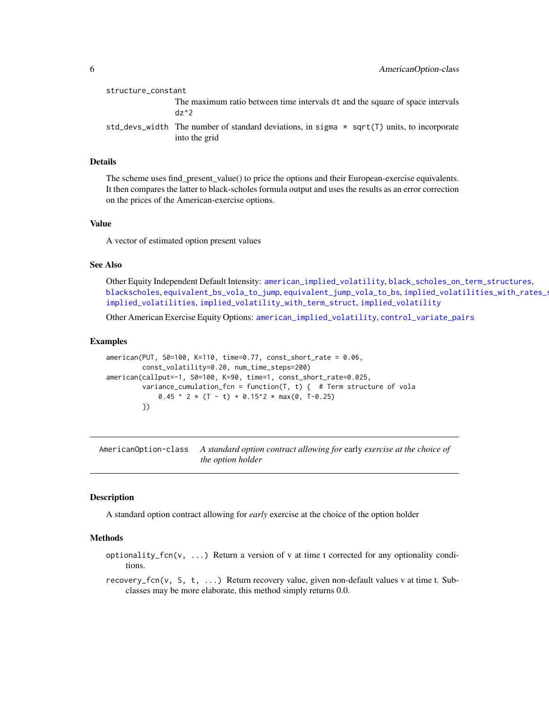<span id="page-5-0"></span>

| structure_constant |                                                                                                               |
|--------------------|---------------------------------------------------------------------------------------------------------------|
|                    | The maximum ratio between time intervals dt and the square of space intervals<br>$dz^2$                       |
|                    | std_devs_width The number of standard deviations, in sigma $*$ sqrt(T) units, to incorporate<br>into the grid |

#### Details

The scheme uses find\_present\_value() to price the options and their European-exercise equivalents. It then compares the latter to black-scholes formula output and uses the results as an error correction on the prices of the American-exercise options.

#### Value

A vector of estimated option present values

#### See Also

Other Equity Independent Default Intensity: [american\\_implied\\_volatility](#page-6-1), [black\\_scholes\\_on\\_term\\_structures](#page-9-1), [blackscholes](#page-7-1), [equivalent\\_bs\\_vola\\_to\\_jump](#page-16-1), [equivalent\\_jump\\_vola\\_to\\_bs](#page-18-1), implied\_volatilities\_with\_rates\_s [implied\\_volatilities](#page-29-1), [implied\\_volatility\\_with\\_term\\_struct](#page-33-1), [implied\\_volatility](#page-31-1)

Other American Exercise Equity Options: [american\\_implied\\_volatility](#page-6-1), [control\\_variate\\_pairs](#page-13-1)

#### Examples

```
american(PUT, S0=100, K=110, time=0.77, const_short_rate = 0.06,
        const_volatility=0.20, num_time_steps=200)
american(callput=-1, S0=100, K=90, time=1, const_short_rate=0.025,
        variance_cumulation_fcn = function(T, t) { # Term structure of vola
             0.45 ^ 2 * (T - t) + 0.15^2 * max(0, T-0.25)
        })
```
AmericanOption-class *A standard option contract allowing for* early *exercise at the choice of the option holder*

### <span id="page-5-1"></span>**Description**

A standard option contract allowing for *early* exercise at the choice of the option holder

#### Methods

- optionality\_fcn(v, ...) Return a version of v at time t corrected for any optionality conditions.
- recovery\_fcn(v, S, t, ...) Return recovery value, given non-default values v at time t. Subclasses may be more elaborate, this method simply returns 0.0.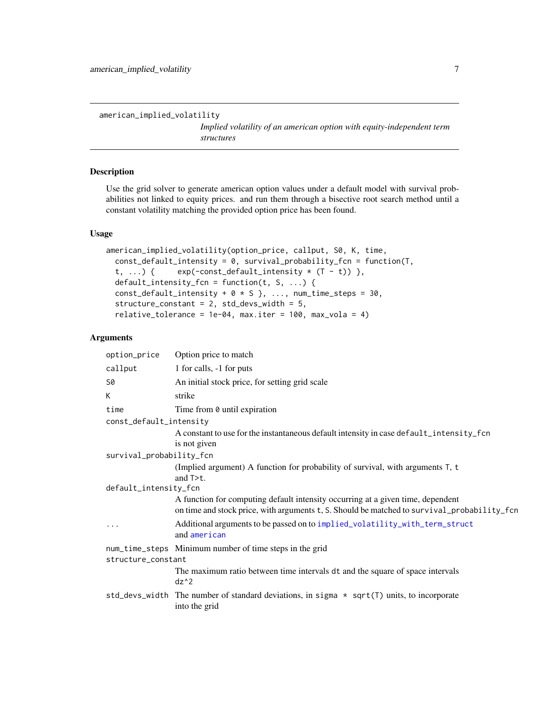<span id="page-6-1"></span><span id="page-6-0"></span>american\_implied\_volatility

*Implied volatility of an american option with equity-independent term structures*

### Description

Use the grid solver to generate american option values under a default model with survival probabilities not linked to equity prices. and run them through a bisective root search method until a constant volatility matching the provided option price has been found.

#### Usage

```
american_implied_volatility(option_price, callput, S0, K, time,
  const_default_intensity = 0, survival_probability_fcn = function(T,
  t, ...) { exp(-const\_default\_intensity * (T - t)) },
  default_intensity_fcn = function(t, S, ...) {
  const_default_intensity + 0 \times S }, ..., num_time_steps = 30,
  structure_constant = 2, std_devs_width = 5,
  relative\_tolerance = 1e-04, max.iter = 100, max\_vola = 4)
```

| option_price             | Option price to match                                                                                                                                                          |
|--------------------------|--------------------------------------------------------------------------------------------------------------------------------------------------------------------------------|
| callput                  | 1 for calls, -1 for puts                                                                                                                                                       |
| S0                       | An initial stock price, for setting grid scale                                                                                                                                 |
| K                        | strike                                                                                                                                                                         |
| time                     | Time from 0 until expiration                                                                                                                                                   |
| const_default_intensity  |                                                                                                                                                                                |
|                          | A constant to use for the instantaneous default intensity in case default_intensity_fcn<br>is not given                                                                        |
| survival_probability_fcn |                                                                                                                                                                                |
|                          | (Implied argument) A function for probability of survival, with arguments T, t<br>and $T > t$ .                                                                                |
| default_intensity_fcn    |                                                                                                                                                                                |
|                          | A function for computing default intensity occurring at a given time, dependent<br>on time and stock price, with arguments t, S. Should be matched to survival_probability_fcn |
| $\ddots$                 | Additional arguments to be passed on to implied_volatility_with_term_struct<br>and american                                                                                    |
|                          | num_time_steps Minimum number of time steps in the grid                                                                                                                        |
| structure_constant       |                                                                                                                                                                                |
|                          | The maximum ratio between time intervals dt and the square of space intervals<br>$dz^2$                                                                                        |
|                          | std_devs_width The number of standard deviations, in sigma $*$ sqrt(T) units, to incorporate<br>into the grid                                                                  |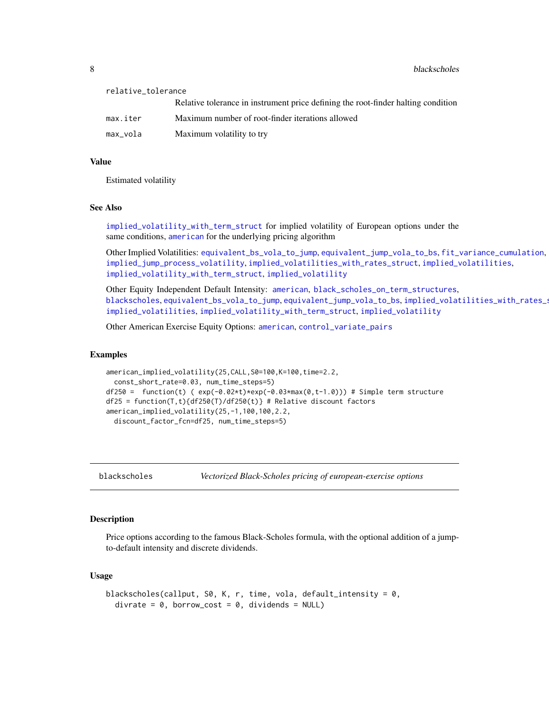<span id="page-7-0"></span>8 blackscholes and the state of the state of the state of the state of the blackscholes

| relative_tolerance |                                                                                   |  |
|--------------------|-----------------------------------------------------------------------------------|--|
|                    | Relative tolerance in instrument price defining the root-finder halting condition |  |
| max.iter           | Maximum number of root-finder iterations allowed                                  |  |
| max_vola           | Maximum volatility to try                                                         |  |
|                    |                                                                                   |  |

### Value

Estimated volatility

#### See Also

[implied\\_volatility\\_with\\_term\\_struct](#page-33-1) for implied volatility of European options under the same conditions, [american](#page-4-1) for the underlying pricing algorithm

Other Implied Volatilities: [equivalent\\_bs\\_vola\\_to\\_jump](#page-16-1), [equivalent\\_jump\\_vola\\_to\\_bs](#page-18-1), [fit\\_variance\\_cumulation](#page-23-1), [implied\\_jump\\_process\\_volatility](#page-27-1), [implied\\_volatilities\\_with\\_rates\\_struct](#page-30-1), [implied\\_volatilities](#page-29-1), [implied\\_volatility\\_with\\_term\\_struct](#page-33-1), [implied\\_volatility](#page-31-1)

Other Equity Independent Default Intensity: [american](#page-4-1), [black\\_scholes\\_on\\_term\\_structures](#page-9-1), [blackscholes](#page-7-1), [equivalent\\_bs\\_vola\\_to\\_jump](#page-16-1), [equivalent\\_jump\\_vola\\_to\\_bs](#page-18-1), implied\_volatilities\_with\_rates\_s [implied\\_volatilities](#page-29-1), [implied\\_volatility\\_with\\_term\\_struct](#page-33-1), [implied\\_volatility](#page-31-1)

Other American Exercise Equity Options: [american](#page-4-1), [control\\_variate\\_pairs](#page-13-1)

#### Examples

```
american_implied_volatility(25,CALL,S0=100,K=100,time=2.2,
 const_short_rate=0.03, num_time_steps=5)
df250 = function(t) (exp(-0.02*t)*exp(-0.03*max(0,t-1.0))) # Simple term structure
df25 = function(T,t){df250(T)/df250(t)} # Relative discount factorsamerican_implied_volatility(25,-1,100,100,2.2,
 discount_factor_fcn=df25, num_time_steps=5)
```
<span id="page-7-1"></span>

blackscholes *Vectorized Black-Scholes pricing of european-exercise options*

#### Description

Price options according to the famous Black-Scholes formula, with the optional addition of a jumpto-default intensity and discrete dividends.

#### Usage

```
blackscholes(callput, S0, K, r, time, vola, default_intensity = 0,
  divrate = 0, borrow_cost = 0, dividends = NULL)
```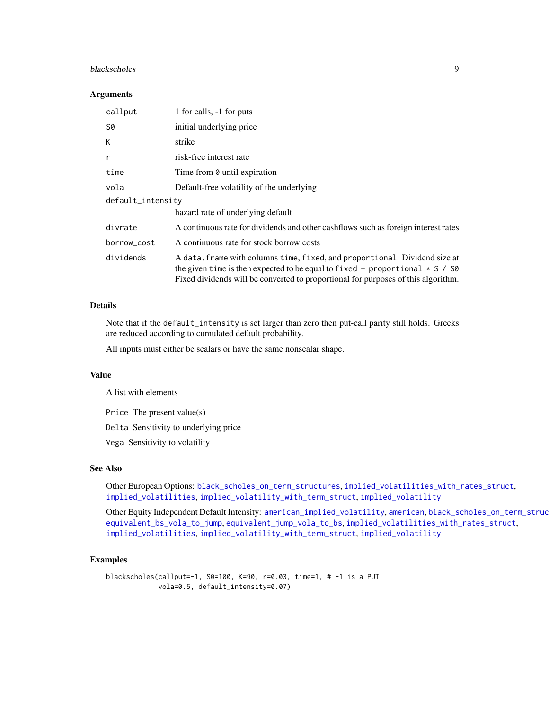#### <span id="page-8-0"></span>blackscholes 9

#### **Arguments**

| callput           | 1 for calls, -1 for puts                                                                                                                                                                                                                               |  |
|-------------------|--------------------------------------------------------------------------------------------------------------------------------------------------------------------------------------------------------------------------------------------------------|--|
| S0                | initial underlying price                                                                                                                                                                                                                               |  |
| K                 | strike                                                                                                                                                                                                                                                 |  |
| $\mathsf{r}$      | risk-free interest rate                                                                                                                                                                                                                                |  |
| time              | Time from 0 until expiration                                                                                                                                                                                                                           |  |
| vola              | Default-free volatility of the underlying                                                                                                                                                                                                              |  |
| default_intensity |                                                                                                                                                                                                                                                        |  |
|                   | hazard rate of underlying default                                                                                                                                                                                                                      |  |
| divrate           | A continuous rate for dividends and other cashflows such as foreign interest rates                                                                                                                                                                     |  |
| borrow_cost       | A continuous rate for stock borrow costs                                                                                                                                                                                                               |  |
| dividends         | A data. frame with columns time, fixed, and proportional. Dividend size at<br>the given time is then expected to be equal to fixed + proportional $\star$ S / S0.<br>Fixed dividends will be converted to proportional for purposes of this algorithm. |  |

### Details

Note that if the default\_intensity is set larger than zero then put-call parity still holds. Greeks are reduced according to cumulated default probability.

All inputs must either be scalars or have the same nonscalar shape.

#### Value

A list with elements

Price The present value(s)

Delta Sensitivity to underlying price

Vega Sensitivity to volatility

### See Also

Other European Options: [black\\_scholes\\_on\\_term\\_structures](#page-9-1), [implied\\_volatilities\\_with\\_rates\\_struct](#page-30-1), [implied\\_volatilities](#page-29-1), [implied\\_volatility\\_with\\_term\\_struct](#page-33-1), [implied\\_volatility](#page-31-1)

Other Equity Independent Default Intensity: [american\\_implied\\_volatility](#page-6-1), [american](#page-4-1), black\_scholes\_on\_term\_struc [equivalent\\_bs\\_vola\\_to\\_jump](#page-16-1), [equivalent\\_jump\\_vola\\_to\\_bs](#page-18-1), [implied\\_volatilities\\_with\\_rates\\_struct](#page-30-1), [implied\\_volatilities](#page-29-1), [implied\\_volatility\\_with\\_term\\_struct](#page-33-1), [implied\\_volatility](#page-31-1)

#### Examples

blackscholes(callput=-1, S0=100, K=90, r=0.03, time=1, # -1 is a PUT vola=0.5, default\_intensity=0.07)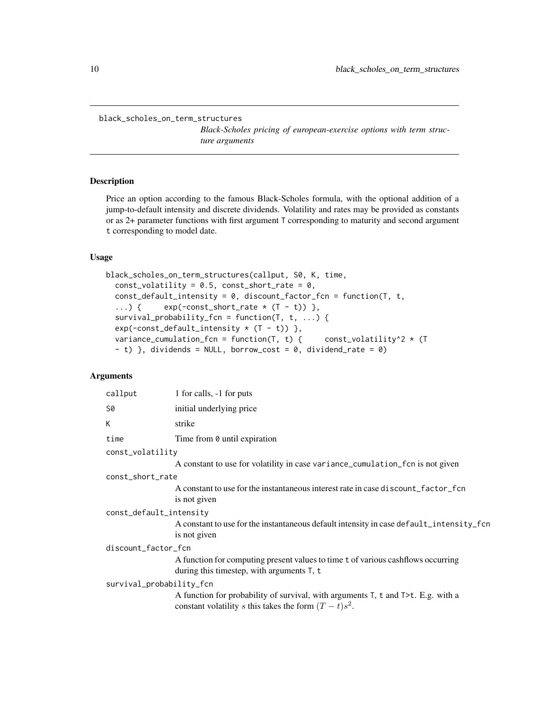<span id="page-9-1"></span><span id="page-9-0"></span>black\_scholes\_on\_term\_structures

*Black-Scholes pricing of european-exercise options with term structure arguments*

### Description

Price an option according to the famous Black-Scholes formula, with the optional addition of a jump-to-default intensity and discrete dividends. Volatility and rates may be provided as constants or as 2+ parameter functions with first argument T corresponding to maturity and second argument t corresponding to model date.

#### Usage

```
black_scholes_on_term_structures(callput, S0, K, time,
  const_volatility = 0.5, const_short_rate = 0,
  const<sub>-default_intensity = 0, discount_factor_fcn = function(T, t,</sub>
  ...) { exp(-const\_short\_rate * (T - t)) },
  survival_probability_fcn = function(T, t, ...) {
  exp(-const\_default\_intensity * (T - t)),
  variance_cumulation_fcn = function(T, t) { const_volatility^2 * (T
  - t) }, dividends = NULL, borrow_cost = 0, dividend_rate = 0)
```

|                          | callput                 | 1 for calls, -1 for puts                                                                                                                     |
|--------------------------|-------------------------|----------------------------------------------------------------------------------------------------------------------------------------------|
|                          | S0                      | initial underlying price                                                                                                                     |
|                          | К                       | strike                                                                                                                                       |
|                          | time                    | Time from 0 until expiration                                                                                                                 |
|                          | const_volatility        |                                                                                                                                              |
|                          |                         | A constant to use for volatility in case variance_cumulation_fcn is not given                                                                |
|                          | const_short_rate        |                                                                                                                                              |
|                          |                         | A constant to use for the instantaneous interest rate in case discount_factor_fcn<br>is not given                                            |
|                          | const_default_intensity |                                                                                                                                              |
|                          |                         | A constant to use for the instantaneous default intensity in case default_intensity_fcn<br>is not given                                      |
|                          | discount_factor_fcn     |                                                                                                                                              |
|                          |                         | A function for computing present values to time t of various cashflows occurring<br>during this timestep, with arguments $T$ , t             |
| survival_probability_fcn |                         |                                                                                                                                              |
|                          |                         | A function for probability of survival, with arguments T, t and T>t. E.g. with a<br>constant volatility s this takes the form $(T - t)s^2$ . |
|                          |                         |                                                                                                                                              |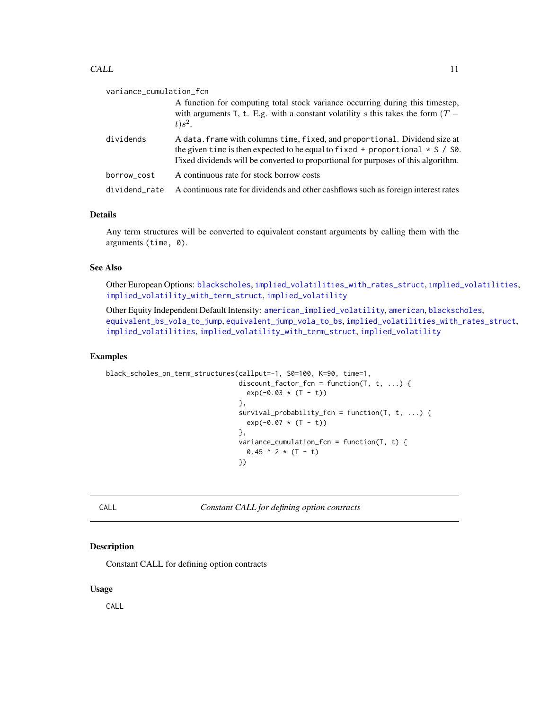#### <span id="page-10-0"></span> $CALL$  11

| variance_cumulation_fcn |                                                                                                                                                                                                                                                        |  |
|-------------------------|--------------------------------------------------------------------------------------------------------------------------------------------------------------------------------------------------------------------------------------------------------|--|
|                         | A function for computing total stock variance occurring during this timestep,<br>with arguments T, t. E.g. with a constant volatility s this takes the form $(T -$<br>$t$ ) $s^2$ .                                                                    |  |
| dividends               | A data. frame with columns time, fixed, and proportional. Dividend size at<br>the given time is then expected to be equal to fixed + proportional $\star$ S / S0.<br>Fixed dividends will be converted to proportional for purposes of this algorithm. |  |
| borrow_cost             | A continuous rate for stock borrow costs                                                                                                                                                                                                               |  |
| dividend_rate           | A continuous rate for dividends and other cashflows such as foreign interest rates                                                                                                                                                                     |  |

### Details

Any term structures will be converted to equivalent constant arguments by calling them with the arguments (time, 0).

### See Also

Other European Options: [blackscholes](#page-7-1), [implied\\_volatilities\\_with\\_rates\\_struct](#page-30-1), [implied\\_volatilities](#page-29-1), [implied\\_volatility\\_with\\_term\\_struct](#page-33-1), [implied\\_volatility](#page-31-1)

Other Equity Independent Default Intensity: [american\\_implied\\_volatility](#page-6-1), [american](#page-4-1), [blackscholes](#page-7-1), [equivalent\\_bs\\_vola\\_to\\_jump](#page-16-1), [equivalent\\_jump\\_vola\\_to\\_bs](#page-18-1), [implied\\_volatilities\\_with\\_rates\\_struct](#page-30-1), [implied\\_volatilities](#page-29-1), [implied\\_volatility\\_with\\_term\\_struct](#page-33-1), [implied\\_volatility](#page-31-1)

#### Examples

```
black_scholes_on_term_structures(callput=-1, S0=100, K=90, time=1,
                                 discount_factor_fcn = function(T, t, ...) {
                                   exp(-0.03 * (T - t))},
                                 survival_probability_fcn = function(T, t, ...) {
                                   exp(-0.07 \times (T - t))},
                                 variance_cumulation_fcn = function(T, t) {
                                   0.45 ^ 2 * (T - t)
                                 })
```
CALL *Constant CALL for defining option contracts*

### Description

Constant CALL for defining option contracts

### Usage

CALL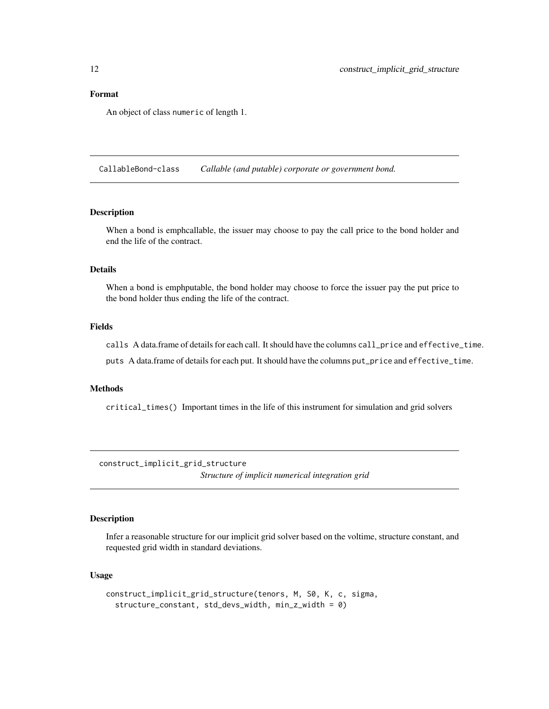<span id="page-11-0"></span>An object of class numeric of length 1.

CallableBond-class *Callable (and putable) corporate or government bond.*

### Description

When a bond is emphcallable, the issuer may choose to pay the call price to the bond holder and end the life of the contract.

#### Details

When a bond is emphputable, the bond holder may choose to force the issuer pay the put price to the bond holder thus ending the life of the contract.

### Fields

calls A data.frame of details for each call. It should have the columns call\_price and effective\_time.

puts A data.frame of details for each put. It should have the columns put\_price and effective\_time.

### Methods

critical\_times() Important times in the life of this instrument for simulation and grid solvers

<span id="page-11-1"></span>construct\_implicit\_grid\_structure

*Structure of implicit numerical integration grid*

### Description

Infer a reasonable structure for our implicit grid solver based on the voltime, structure constant, and requested grid width in standard deviations.

#### Usage

```
construct_implicit_grid_structure(tenors, M, S0, K, c, sigma,
  structure_constant, std_devs_width, min_z_width = 0)
```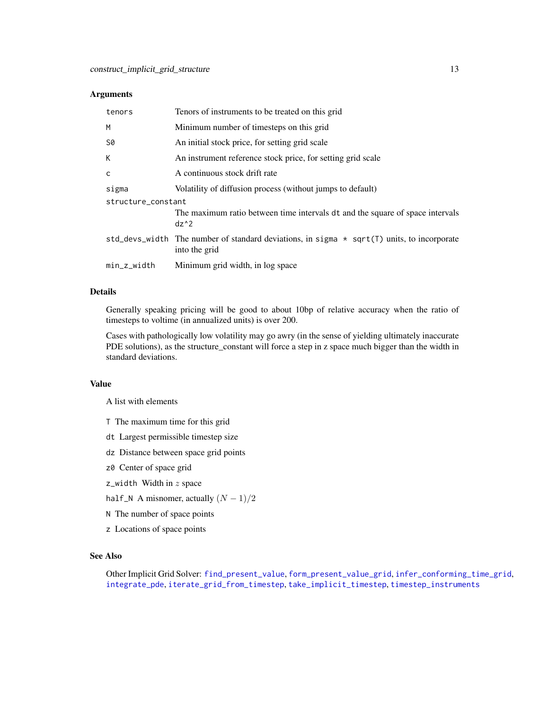### <span id="page-12-0"></span>Arguments

| tenors             | Tenors of instruments to be treated on this grid                                                              |  |
|--------------------|---------------------------------------------------------------------------------------------------------------|--|
| M                  | Minimum number of timesteps on this grid                                                                      |  |
| S0                 | An initial stock price, for setting grid scale                                                                |  |
| K                  | An instrument reference stock price, for setting grid scale                                                   |  |
| $\mathsf{C}$       | A continuous stock drift rate                                                                                 |  |
| sigma              | Volatility of diffusion process (without jumps to default)                                                    |  |
| structure_constant |                                                                                                               |  |
|                    | The maximum ratio between time intervals dt and the square of space intervals<br>$dz^2$                       |  |
|                    | std_devs_width The number of standard deviations, in sigma $*$ sqrt(T) units, to incorporate<br>into the grid |  |
| $min_z_width$      | Minimum grid width, in log space                                                                              |  |

### Details

Generally speaking pricing will be good to about 10bp of relative accuracy when the ratio of timesteps to voltime (in annualized units) is over 200.

Cases with pathologically low volatility may go awry (in the sense of yielding ultimately inaccurate PDE solutions), as the structure\_constant will force a step in z space much bigger than the width in standard deviations.

### Value

A list with elements

- T The maximum time for this grid
- dt Largest permissible timestep size
- dz Distance between space grid points
- z0 Center of space grid
- $z$ \_width Width in  $z$  space
- half\_N A misnomer, actually  $(N 1)/2$
- N The number of space points
- z Locations of space points

### See Also

Other Implicit Grid Solver: [find\\_present\\_value](#page-19-1), [form\\_present\\_value\\_grid](#page-25-1), [infer\\_conforming\\_time\\_grid](#page-34-1), [integrate\\_pde](#page-35-1), [iterate\\_grid\\_from\\_timestep](#page-37-1), [take\\_implicit\\_timestep](#page-46-1), [timestep\\_instruments](#page-47-1)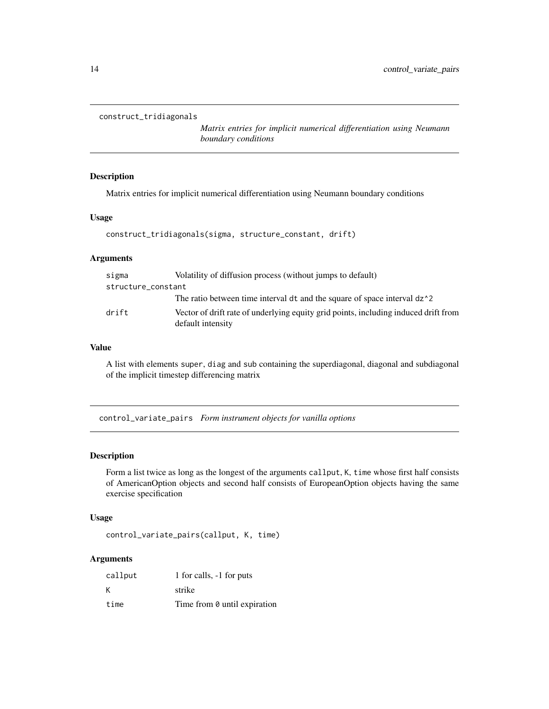```
construct_tridiagonals
```
*Matrix entries for implicit numerical differentiation using Neumann boundary conditions*

### Description

Matrix entries for implicit numerical differentiation using Neumann boundary conditions

### Usage

```
construct_tridiagonals(sigma, structure_constant, drift)
```
### Arguments

| sigma              | Volatility of diffusion process (without jumps to default)                                               |
|--------------------|----------------------------------------------------------------------------------------------------------|
| structure_constant |                                                                                                          |
|                    | The ratio between time interval dt and the square of space interval dz <sup>1</sup> 2                    |
| drift              | Vector of drift rate of underlying equity grid points, including induced drift from<br>default intensity |

#### Value

A list with elements super, diag and sub containing the superdiagonal, diagonal and subdiagonal of the implicit timestep differencing matrix

<span id="page-13-1"></span>control\_variate\_pairs *Form instrument objects for vanilla options*

#### Description

Form a list twice as long as the longest of the arguments callput, K, time whose first half consists of AmericanOption objects and second half consists of EuropeanOption objects having the same exercise specification

### Usage

```
control_variate_pairs(callput, K, time)
```

| callput | 1 for calls, -1 for puts     |
|---------|------------------------------|
| К       | strike                       |
| time    | Time from 0 until expiration |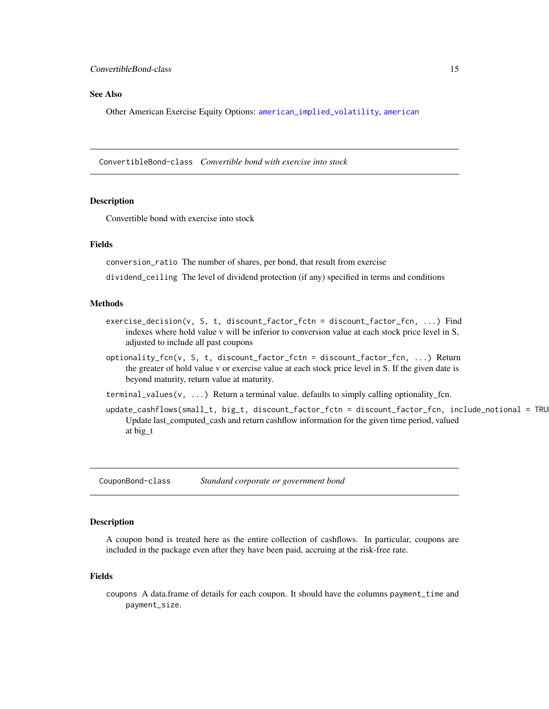#### <span id="page-14-0"></span>See Also

Other American Exercise Equity Options: [american\\_implied\\_volatility](#page-6-1), [american](#page-4-1)

ConvertibleBond-class *Convertible bond with exercise into stock*

#### Description

Convertible bond with exercise into stock

#### Fields

conversion\_ratio The number of shares, per bond, that result from exercise

dividend\_ceiling The level of dividend protection (if any) specified in terms and conditions

#### Methods

- exercise\_decision(v, S, t, discount\_factor\_fctn = discount\_factor\_fcn, ...) Find indexes where hold value v will be inferior to conversion value at each stock price level in S, adjusted to include all past coupons
- optionality\_fcn(v, S, t, discount\_factor\_fctn = discount\_factor\_fcn, ...) Return the greater of hold value v or exercise value at each stock price level in S. If the given date is beyond maturity, return value at maturity.
- terminal\_values( $v, \ldots$ ) Return a terminal value. defaults to simply calling optionality\_fcn.
- update\_cashflows(small\_t, big\_t, discount\_factor\_fctn = discount\_factor\_fcn, include\_notional = TRU Update last\_computed\_cash and return cashflow information for the given time period, valued at big\_t

CouponBond-class *Standard corporate or government bond*

#### Description

A coupon bond is treated here as the entire collection of cashflows. In particular, coupons are included in the package even after they have been paid, accruing at the risk-free rate.

#### Fields

coupons A data.frame of details for each coupon. It should have the columns payment\_time and payment\_size.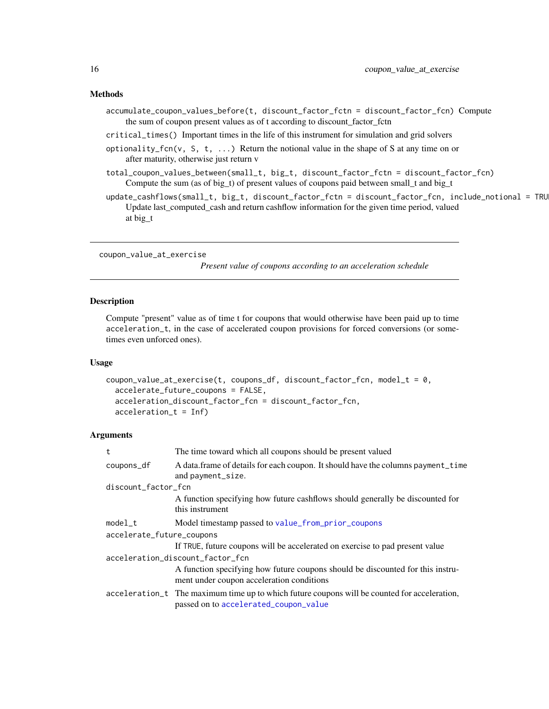#### <span id="page-15-0"></span>Methods

- accumulate\_coupon\_values\_before(t, discount\_factor\_fctn = discount\_factor\_fcn) Compute the sum of coupon present values as of t according to discount\_factor\_fctn
- critical\_times() Important times in the life of this instrument for simulation and grid solvers
- optionality\_fcn(v, S, t,  $\dots$ ) Return the notional value in the shape of S at any time on or after maturity, otherwise just return v
- total\_coupon\_values\_between(small\_t, big\_t, discount\_factor\_fctn = discount\_factor\_fcn) Compute the sum (as of big\_t) of present values of coupons paid between small\_t and big\_t
- update\_cashflows(small\_t, big\_t, discount\_factor\_fctn = discount\_factor\_fcn, include\_notional = TRU Update last\_computed\_cash and return cashflow information for the given time period, valued at big\_t

<span id="page-15-1"></span>coupon\_value\_at\_exercise

*Present value of coupons according to an acceleration schedule*

### Description

Compute "present" value as of time t for coupons that would otherwise have been paid up to time acceleration\_t, in the case of accelerated coupon provisions for forced conversions (or sometimes even unforced ones).

#### Usage

```
coupon_value_at_exercise(t, coupons_df, discount_factor_fcn, model_t = \theta,
  accelerate_future_coupons = FALSE,
  acceleration_discount_factor_fcn = discount_factor_fcn,
  acceleration_t = Inf)
```

| t                         | The time toward which all coupons should be present valued                                                                            |  |
|---------------------------|---------------------------------------------------------------------------------------------------------------------------------------|--|
| coupons_df                | A data.frame of details for each coupon. It should have the columns payment_time<br>and payment_size.                                 |  |
| discount_factor_fcn       |                                                                                                                                       |  |
|                           | A function specifying how future cashflows should generally be discounted for<br>this instrument                                      |  |
| model t                   | Model timestamp passed to value_from_prior_coupons                                                                                    |  |
| accelerate_future_coupons |                                                                                                                                       |  |
|                           | If TRUE, future coupons will be accelerated on exercise to pad present value                                                          |  |
|                           | acceleration_discount_factor_fcn                                                                                                      |  |
|                           | A function specifying how future coupons should be discounted for this instru-<br>ment under coupon acceleration conditions           |  |
|                           | acceleration_t The maximum time up to which future coupons will be counted for acceleration,<br>passed on to accelerated_coupon_value |  |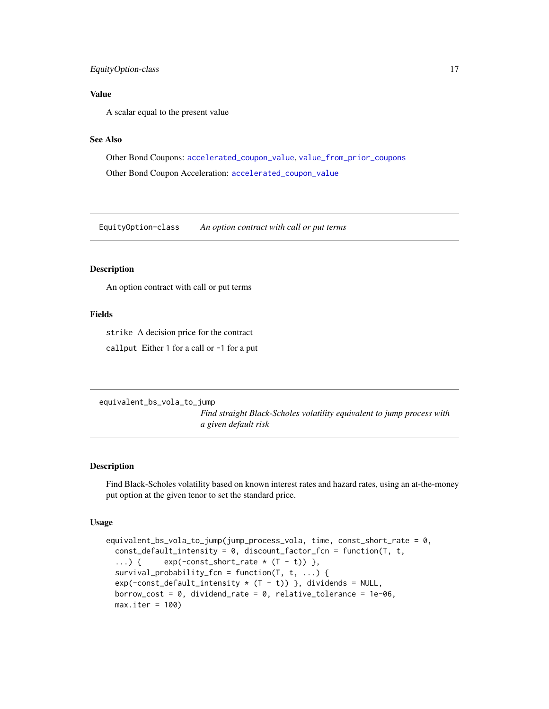### <span id="page-16-0"></span>EquityOption-class 17

### Value

A scalar equal to the present value

#### See Also

Other Bond Coupons: [accelerated\\_coupon\\_value](#page-2-1), [value\\_from\\_prior\\_coupons](#page-50-1) Other Bond Coupon Acceleration: [accelerated\\_coupon\\_value](#page-2-1)

EquityOption-class *An option contract with call or put terms*

#### Description

An option contract with call or put terms

### Fields

strike A decision price for the contract

callput Either 1 for a call or -1 for a put

<span id="page-16-1"></span>equivalent\_bs\_vola\_to\_jump

*Find straight Black-Scholes volatility equivalent to jump process with a given default risk*

#### Description

Find Black-Scholes volatility based on known interest rates and hazard rates, using an at-the-money put option at the given tenor to set the standard price.

#### Usage

```
equivalent_bs_vola_to_jump(jump_process_vola, time, const_short_rate = 0,
 const_default_intensity = 0, discount_factor_fcn = function(T, t,
  ...) { exp(-const\_short\_rate * (T - t)) },
  survival_probability_fcn = function(T, t, ...) {
  exp(-const\_default\_intensity * (T - t)) }, dividends = NULL,
 borrow_cost = 0, dividend_rate = 0, relative_tolerance = 1e-06,
 max.iter = 100
```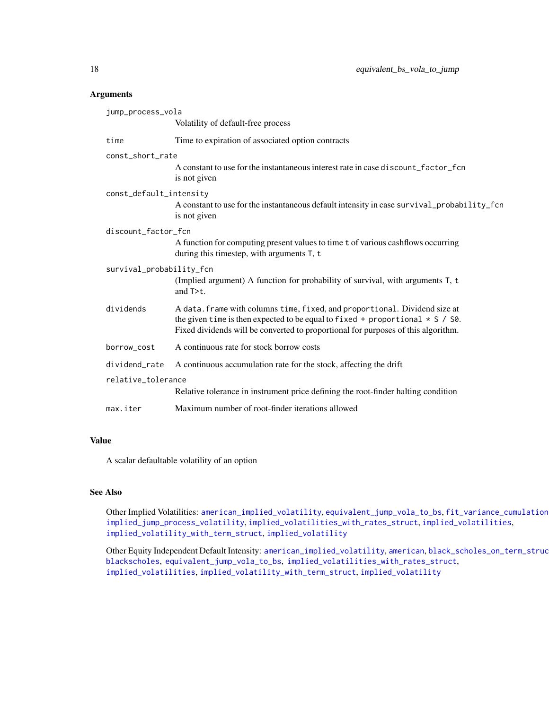#### Arguments

| jump_process_vola        |                                                                                                                                                                                                                                                        |  |
|--------------------------|--------------------------------------------------------------------------------------------------------------------------------------------------------------------------------------------------------------------------------------------------------|--|
|                          | Volatility of default-free process                                                                                                                                                                                                                     |  |
| time                     | Time to expiration of associated option contracts                                                                                                                                                                                                      |  |
| const_short_rate         |                                                                                                                                                                                                                                                        |  |
|                          | A constant to use for the instantaneous interest rate in case discount_factor_fcn<br>is not given                                                                                                                                                      |  |
| const_default_intensity  |                                                                                                                                                                                                                                                        |  |
|                          | A constant to use for the instantaneous default intensity in case survival_probability_fcn<br>is not given                                                                                                                                             |  |
| discount_factor_fcn      |                                                                                                                                                                                                                                                        |  |
|                          | A function for computing present values to time t of various cashflows occurring<br>during this timestep, with arguments T, t                                                                                                                          |  |
| survival_probability_fcn |                                                                                                                                                                                                                                                        |  |
|                          | (Implied argument) A function for probability of survival, with arguments T, t<br>and $T \gt t$ .                                                                                                                                                      |  |
| dividends                | A data. frame with columns time, fixed, and proportional. Dividend size at<br>the given time is then expected to be equal to fixed + proportional $\star$ S / S0.<br>Fixed dividends will be converted to proportional for purposes of this algorithm. |  |
| borrow_cost              | A continuous rate for stock borrow costs                                                                                                                                                                                                               |  |
| dividend_rate            | A continuous accumulation rate for the stock, affecting the drift                                                                                                                                                                                      |  |
| relative_tolerance       |                                                                                                                                                                                                                                                        |  |
|                          | Relative tolerance in instrument price defining the root-finder halting condition                                                                                                                                                                      |  |
| max.iter                 | Maximum number of root-finder iterations allowed                                                                                                                                                                                                       |  |

### Value

A scalar defaultable volatility of an option

### See Also

Other Implied Volatilities: [american\\_implied\\_volatility](#page-6-1), [equivalent\\_jump\\_vola\\_to\\_bs](#page-18-1), [fit\\_variance\\_cumulation](#page-23-1), [implied\\_jump\\_process\\_volatility](#page-27-1), [implied\\_volatilities\\_with\\_rates\\_struct](#page-30-1), [implied\\_volatilities](#page-29-1), [implied\\_volatility\\_with\\_term\\_struct](#page-33-1), [implied\\_volatility](#page-31-1)

Other Equity Independent Default Intensity: [american\\_implied\\_volatility](#page-6-1), [american](#page-4-1), black\_scholes\_on\_term\_struc [blackscholes](#page-7-1), [equivalent\\_jump\\_vola\\_to\\_bs](#page-18-1), [implied\\_volatilities\\_with\\_rates\\_struct](#page-30-1), [implied\\_volatilities](#page-29-1), [implied\\_volatility\\_with\\_term\\_struct](#page-33-1), [implied\\_volatility](#page-31-1)

<span id="page-17-0"></span>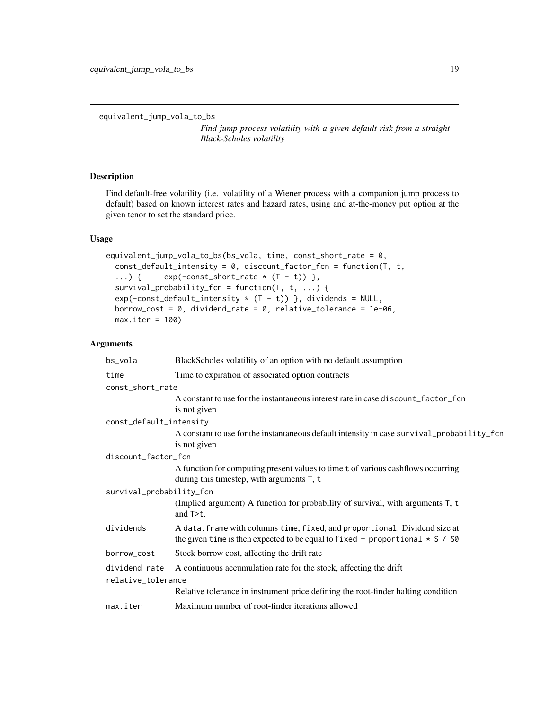```
equivalent_jump_vola_to_bs
```
*Find jump process volatility with a given default risk from a straight Black-Scholes volatility*

### Description

Find default-free volatility (i.e. volatility of a Wiener process with a companion jump process to default) based on known interest rates and hazard rates, using and at-the-money put option at the given tenor to set the standard price.

#### Usage

```
equivalent_jump_vola_to_bs(bs_vola, time, const_short_rate = 0,
  const<sup>-default_intensity = 0, discount_factor_fcn = function(T, t,</sup>
  ...) { exp(-const\_short\_rate * (T - t)) },
  survival_probability_fcn = function(T, t, ...) {
  exp(-const\_default\_intensity * (T - t)) }, dividends = NULL,
  borrow_cost = 0, dividend_rate = 0, relative_tolerance = 1e-06,
  max.iter = 100)
```

| bs_vola                  | BlackScholes volatility of an option with no default assumption                                                                                              |
|--------------------------|--------------------------------------------------------------------------------------------------------------------------------------------------------------|
| time                     | Time to expiration of associated option contracts                                                                                                            |
| const_short_rate         |                                                                                                                                                              |
|                          | A constant to use for the instantaneous interest rate in case discount_factor_fcn<br>is not given                                                            |
| const_default_intensity  |                                                                                                                                                              |
|                          | A constant to use for the instantaneous default intensity in case survival_probability_fcn<br>is not given                                                   |
| discount_factor_fcn      |                                                                                                                                                              |
|                          | A function for computing present values to time t of various cashflows occurring<br>during this timestep, with arguments T, t                                |
| survival_probability_fcn |                                                                                                                                                              |
|                          | (Implied argument) A function for probability of survival, with arguments T, t<br>and $T \gt t$ .                                                            |
| dividends                | A data. frame with columns time, fixed, and proportional. Dividend size at<br>the given time is then expected to be equal to fixed + proportional $* S / S0$ |
| borrow_cost              | Stock borrow cost, affecting the drift rate                                                                                                                  |
| dividend_rate            | A continuous accumulation rate for the stock, affecting the drift                                                                                            |
| relative_tolerance       |                                                                                                                                                              |
|                          | Relative tolerance in instrument price defining the root-finder halting condition                                                                            |
| max.iter                 | Maximum number of root-finder iterations allowed                                                                                                             |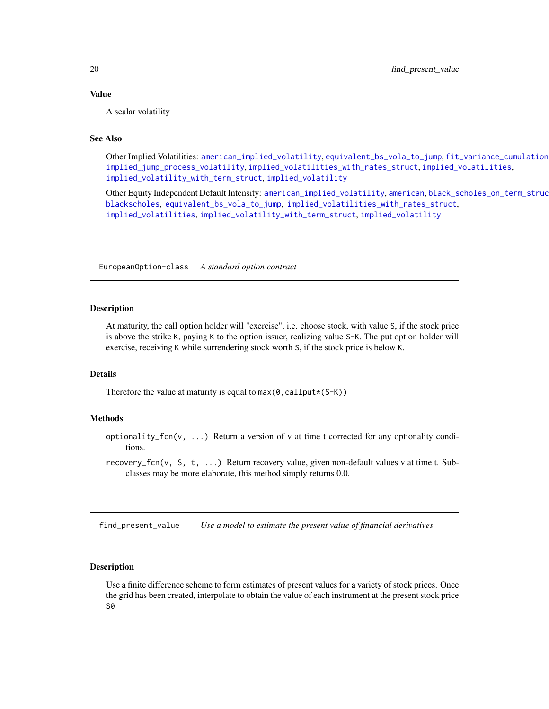#### <span id="page-19-0"></span>Value

A scalar volatility

### See Also

Other Implied Volatilities: [american\\_implied\\_volatility](#page-6-1), [equivalent\\_bs\\_vola\\_to\\_jump](#page-16-1), [fit\\_variance\\_cumulation](#page-23-1), [implied\\_jump\\_process\\_volatility](#page-27-1), [implied\\_volatilities\\_with\\_rates\\_struct](#page-30-1), [implied\\_volatilities](#page-29-1), [implied\\_volatility\\_with\\_term\\_struct](#page-33-1), [implied\\_volatility](#page-31-1)

Other Equity Independent Default Intensity: [american\\_implied\\_volatility](#page-6-1), [american](#page-4-1), black\_scholes\_on\_term\_struc [blackscholes](#page-7-1), [equivalent\\_bs\\_vola\\_to\\_jump](#page-16-1), [implied\\_volatilities\\_with\\_rates\\_struct](#page-30-1), [implied\\_volatilities](#page-29-1), [implied\\_volatility\\_with\\_term\\_struct](#page-33-1), [implied\\_volatility](#page-31-1)

EuropeanOption-class *A standard option contract*

#### <span id="page-19-2"></span>Description

At maturity, the call option holder will "exercise", i.e. choose stock, with value S, if the stock price is above the strike K, paying K to the option issuer, realizing value S-K. The put option holder will exercise, receiving K while surrendering stock worth S, if the stock price is below K.

### Details

Therefore the value at maturity is equal to  $max(\emptyset, callput*(S-K))$ 

### Methods

- optionality\_fcn(v,  $\dots$ ) Return a version of v at time t corrected for any optionality conditions.
- recovery\_fcn(v, S, t, ...) Return recovery value, given non-default values v at time t. Subclasses may be more elaborate, this method simply returns 0.0.

<span id="page-19-1"></span>find\_present\_value *Use a model to estimate the present value of financial derivatives*

#### Description

Use a finite difference scheme to form estimates of present values for a variety of stock prices. Once the grid has been created, interpolate to obtain the value of each instrument at the present stock price S0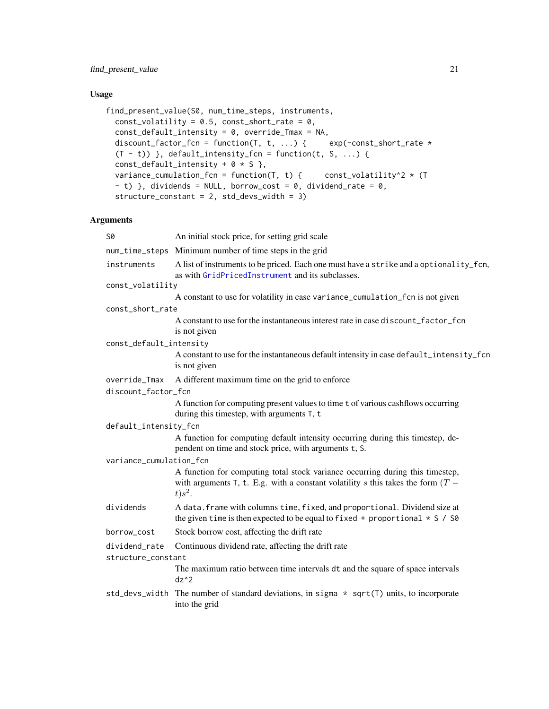### <span id="page-20-0"></span>Usage

```
find_present_value(S0, num_time_steps, instruments,
 const_volatility = 0.5, const_short_rate = 0,
  const_default_intensity = 0, override_Tmax = NA,
 discount_factor_fcn = function(T, t, ...) { exp(-const\_short\_rate *(T - t)) }, default_intensity_fcn = function(t, S, ...) {
  const_default_intensity + 0 * S},
 variance_cumulation_fcn = function(T, t) { const_volatility^2 * (T
  - t) }, dividends = NULL, borrow_cost = 0, dividend_rate = 0,
 structure_constant = 2, std_devs_width = 3)
```

| 50                      | An initial stock price, for setting grid scale                                                                                                                                   |
|-------------------------|----------------------------------------------------------------------------------------------------------------------------------------------------------------------------------|
|                         | num_time_steps Minimum number of time steps in the grid                                                                                                                          |
| instruments             | A list of instruments to be priced. Each one must have a strike and a optionality_fcn,<br>as with GridPricedInstrument and its subclasses.                                       |
| const_volatility        |                                                                                                                                                                                  |
|                         | A constant to use for volatility in case variance_cumulation_fcn is not given                                                                                                    |
| const_short_rate        |                                                                                                                                                                                  |
|                         | A constant to use for the instantaneous interest rate in case discount_factor_fcn<br>is not given                                                                                |
| const_default_intensity |                                                                                                                                                                                  |
|                         | A constant to use for the instantaneous default intensity in case default_intensity_fcn<br>is not given                                                                          |
| override_Tmax           | A different maximum time on the grid to enforce                                                                                                                                  |
| discount_factor_fcn     |                                                                                                                                                                                  |
|                         | A function for computing present values to time t of various cashflows occurring<br>during this timestep, with arguments T, t                                                    |
| default_intensity_fcn   |                                                                                                                                                                                  |
|                         | A function for computing default intensity occurring during this timestep, de-<br>pendent on time and stock price, with arguments t, S.                                          |
| variance_cumulation_fcn |                                                                                                                                                                                  |
|                         | A function for computing total stock variance occurring during this timestep,<br>with arguments T, t. E.g. with a constant volatility s this takes the form $(T -$<br>$t) s^2$ . |
| dividends               | A data. frame with columns time, fixed, and proportional. Dividend size at<br>the given time is then expected to be equal to fixed + proportional $* S / S0$                     |
| borrow_cost             | Stock borrow cost, affecting the drift rate                                                                                                                                      |
| dividend_rate           | Continuous dividend rate, affecting the drift rate                                                                                                                               |
| structure_constant      |                                                                                                                                                                                  |
|                         | The maximum ratio between time intervals dt and the square of space intervals<br>$dz^2$                                                                                          |
|                         | std_devs_width The number of standard deviations, in sigma $\star$ sqrt(T) units, to incorporate<br>into the grid                                                                |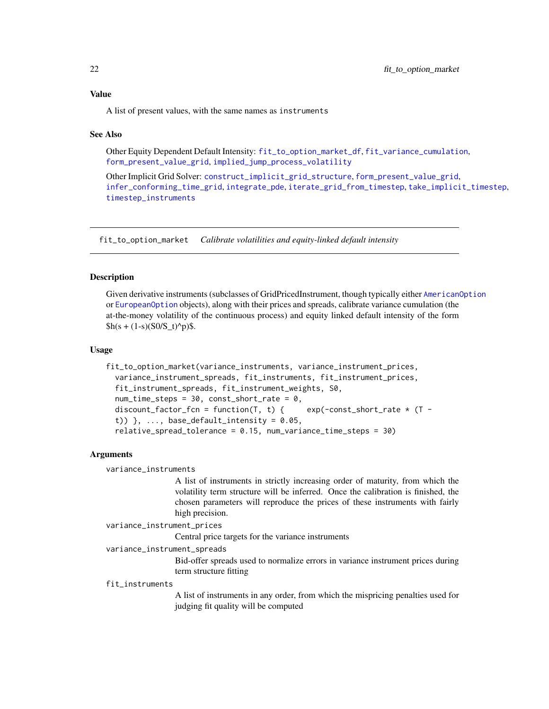### <span id="page-21-0"></span>Value

A list of present values, with the same names as instruments

#### See Also

Other Equity Dependent Default Intensity: [fit\\_to\\_option\\_market\\_df](#page-22-1), [fit\\_variance\\_cumulation](#page-23-1), [form\\_present\\_value\\_grid](#page-25-1), [implied\\_jump\\_process\\_volatility](#page-27-1)

Other Implicit Grid Solver: [construct\\_implicit\\_grid\\_structure](#page-11-1), [form\\_present\\_value\\_grid](#page-25-1), [infer\\_conforming\\_time\\_grid](#page-34-1), [integrate\\_pde](#page-35-1), [iterate\\_grid\\_from\\_timestep](#page-37-1), [take\\_implicit\\_timestep](#page-46-1), [timestep\\_instruments](#page-47-1)

<span id="page-21-1"></span>fit\_to\_option\_market *Calibrate volatilities and equity-linked default intensity*

#### **Description**

Given derivative instruments (subclasses of GridPricedInstrument, though typically either [AmericanOption](#page-5-1) or [EuropeanOption](#page-19-2) objects), along with their prices and spreads, calibrate variance cumulation (the at-the-money volatility of the continuous process) and equity linked default intensity of the form  $h(s + (1-s)(S0/S_t)^{n}p)$ \$.

#### Usage

```
fit_to_option_market(variance_instruments, variance_instrument_prices,
  variance_instrument_spreads, fit_instruments, fit_instrument_prices,
  fit_instrument_spreads, fit_instrument_weights, S0,
  num_time\_steps = 30, const\_short\_rate = 0,
  discount_factor_fcn = function(T, t) { exp(-const\_short\_rate * (T -t)) \}, ..., base_default_intensity = 0.05,
  relative_spread_tolerance = 0.15, num_variance_time_steps = 30)
```
#### **Arguments**

variance\_instruments

A list of instruments in strictly increasing order of maturity, from which the volatility term structure will be inferred. Once the calibration is finished, the chosen parameters will reproduce the prices of these instruments with fairly high precision.

```
variance_instrument_prices
```
Central price targets for the variance instruments

#### variance\_instrument\_spreads

Bid-offer spreads used to normalize errors in variance instrument prices during term structure fitting

#### fit instruments

A list of instruments in any order, from which the mispricing penalties used for judging fit quality will be computed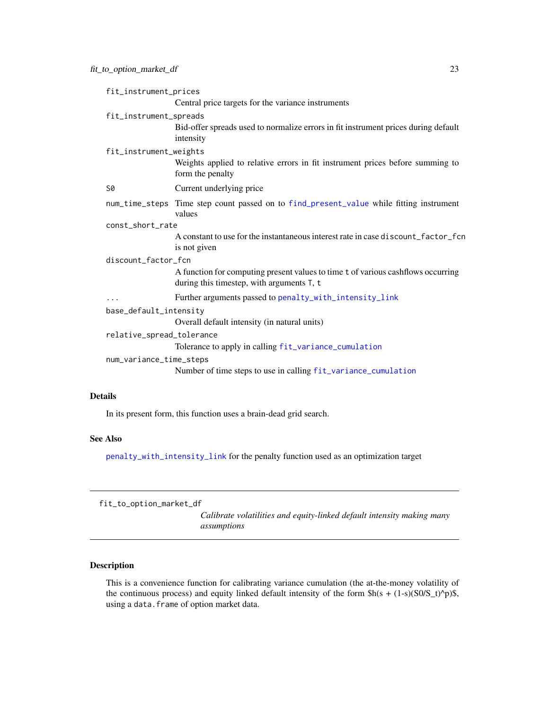<span id="page-22-0"></span>

| fit_instrument_prices     |                                                                                                                               |  |
|---------------------------|-------------------------------------------------------------------------------------------------------------------------------|--|
|                           | Central price targets for the variance instruments                                                                            |  |
| fit_instrument_spreads    |                                                                                                                               |  |
|                           | Bid-offer spreads used to normalize errors in fit instrument prices during default<br>intensity                               |  |
| fit_instrument_weights    |                                                                                                                               |  |
|                           | Weights applied to relative errors in fit instrument prices before summing to<br>form the penalty                             |  |
| <b>S0</b>                 | Current underlying price                                                                                                      |  |
|                           | num_time_steps Time step count passed on to find_present_value while fitting instrument<br>values                             |  |
| const_short_rate          |                                                                                                                               |  |
|                           | A constant to use for the instantaneous interest rate in case discount_factor_fcn<br>is not given                             |  |
| discount_factor_fcn       |                                                                                                                               |  |
|                           | A function for computing present values to time t of various cashflows occurring<br>during this timestep, with arguments T, t |  |
| $\cdots$                  | Further arguments passed to penalty_with_intensity_link                                                                       |  |
| base_default_intensity    |                                                                                                                               |  |
|                           | Overall default intensity (in natural units)                                                                                  |  |
| relative_spread_tolerance |                                                                                                                               |  |
|                           | Tolerance to apply in calling fit_variance_cumulation                                                                         |  |
| num_variance_time_steps   |                                                                                                                               |  |
|                           | Number of time steps to use in calling fit_variance_cumulation                                                                |  |
|                           |                                                                                                                               |  |

### Details

In its present form, this function uses a brain-dead grid search.

### See Also

[penalty\\_with\\_intensity\\_link](#page-38-1) for the penalty function used as an optimization target

```
fit_to_option_market_df
```
*Calibrate volatilities and equity-linked default intensity making many assumptions*

### Description

This is a convenience function for calibrating variance cumulation (the at-the-money volatility of the continuous process) and equity linked default intensity of the form  $h(s + (1-s)(S0/S_t)^p)$ \$, using a data.frame of option market data.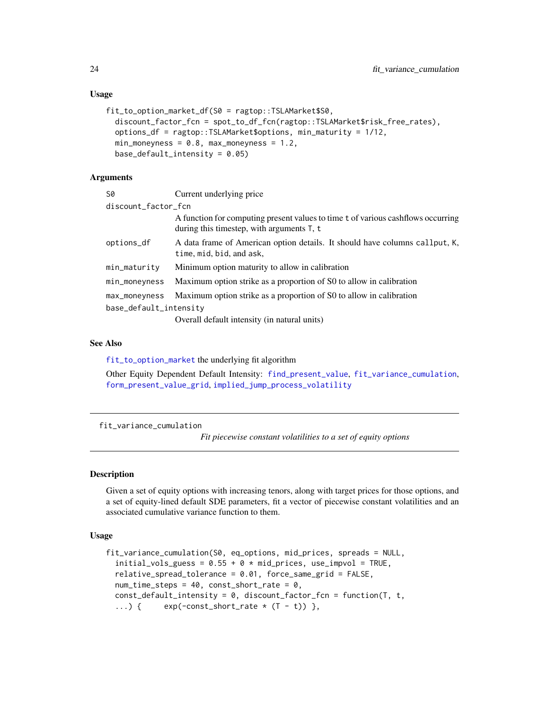#### Usage

```
fit_to_option_market_df(S0 = ragtop::TSLAMarket$S0,
  discount_factor_fcn = spot_to_df_fcn(ragtop::TSLAMarket$risk_free_rates),
  options_df = ragtop::TSLAMarket$options, min_maturity = 1/12,
 min_moneyness = 0.8, max_moneyness = 1.2,
 base_default_intensity = 0.05)
```
### **Arguments**

| S0                     | Current underlying price                                                                                                         |
|------------------------|----------------------------------------------------------------------------------------------------------------------------------|
| discount_factor_fcn    |                                                                                                                                  |
|                        | A function for computing present values to time t of various cashflows occurring<br>during this timestep, with arguments $T$ , t |
| options_df             | A data frame of American option details. It should have columns callput, K,<br>time, mid, bid, and ask,                          |
| min_maturity           | Minimum option maturity to allow in calibration                                                                                  |
| min_moneyness          | Maximum option strike as a proportion of S0 to allow in calibration                                                              |
| max_moneyness          | Maximum option strike as a proportion of S0 to allow in calibration                                                              |
| base_default_intensity |                                                                                                                                  |
|                        | Overall default intensity (in natural units)                                                                                     |

#### See Also

[fit\\_to\\_option\\_market](#page-21-1) the underlying fit algorithm

Other Equity Dependent Default Intensity: [find\\_present\\_value](#page-19-1), [fit\\_variance\\_cumulation](#page-23-1), [form\\_present\\_value\\_grid](#page-25-1), [implied\\_jump\\_process\\_volatility](#page-27-1)

<span id="page-23-1"></span>fit\_variance\_cumulation

*Fit piecewise constant volatilities to a set of equity options*

#### Description

Given a set of equity options with increasing tenors, along with target prices for those options, and a set of equity-lined default SDE parameters, fit a vector of piecewise constant volatilities and an associated cumulative variance function to them.

### Usage

```
fit_variance_cumulation(S0, eq_options, mid_prices, spreads = NULL,
  initial_vols_guess = 0.55 + 0 * mid_prices, use_impvol = TRUE,
  relative_spread_tolerance = 0.01, force_same_grid = FALSE,
  num_time\_steps = 40, const\_short\_rate = 0,
 const_default_intensity = 0, discount_factor_fcn = function(T, t,
  ...) { exp(-const\_short\_rate * (T - t)) },
```
<span id="page-23-0"></span>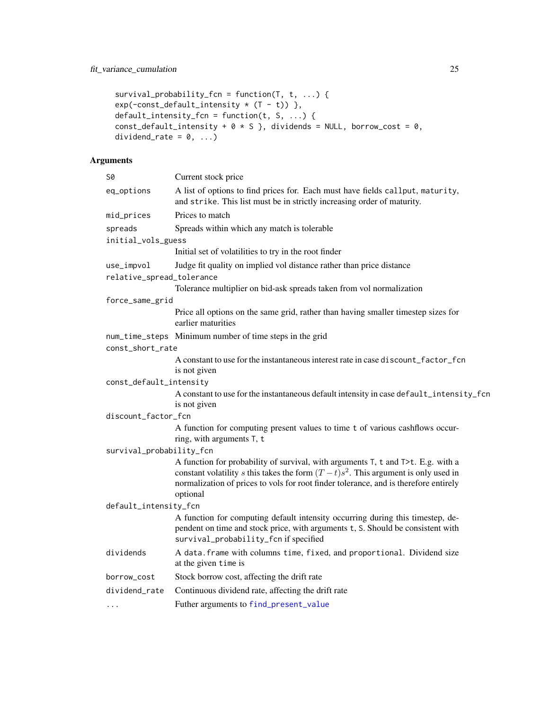```
survival_probability_fcn = function(T, t, ...) {
exp(-const\_default\_intensity * (T - t)),
default_intensity_fcn = function(t, S, ...) {
const_default_intensity + 0 * S}, dividends = NULL, borrow_cost = 0,
dividend_rate = 0, ...)
```

| <b>S0</b>                               | Current stock price                                                                                                                                                                                                                                                          |
|-----------------------------------------|------------------------------------------------------------------------------------------------------------------------------------------------------------------------------------------------------------------------------------------------------------------------------|
| eq_options                              | A list of options to find prices for. Each must have fields callput, maturity,<br>and strike. This list must be in strictly increasing order of maturity.                                                                                                                    |
| mid_prices                              | Prices to match                                                                                                                                                                                                                                                              |
| spreads<br>initial_vols_guess           | Spreads within which any match is tolerable                                                                                                                                                                                                                                  |
|                                         | Initial set of volatilities to try in the root finder                                                                                                                                                                                                                        |
| use_impvol<br>relative_spread_tolerance | Judge fit quality on implied vol distance rather than price distance                                                                                                                                                                                                         |
|                                         | Tolerance multiplier on bid-ask spreads taken from vol normalization                                                                                                                                                                                                         |
| force_same_grid                         |                                                                                                                                                                                                                                                                              |
|                                         | Price all options on the same grid, rather than having smaller timestep sizes for<br>earlier maturities                                                                                                                                                                      |
| const_short_rate                        | num_time_steps Minimum number of time steps in the grid                                                                                                                                                                                                                      |
|                                         | A constant to use for the instantaneous interest rate in case discount_factor_fcn<br>is not given                                                                                                                                                                            |
| const_default_intensity                 |                                                                                                                                                                                                                                                                              |
|                                         | A constant to use for the instantaneous default intensity in case default_intensity_fcn<br>is not given                                                                                                                                                                      |
| discount_factor_fcn                     |                                                                                                                                                                                                                                                                              |
|                                         | A function for computing present values to time t of various cashflows occur-<br>ring, with arguments T, t                                                                                                                                                                   |
| survival_probability_fcn                |                                                                                                                                                                                                                                                                              |
|                                         | A function for probability of survival, with arguments T, t and T>t. E.g. with a<br>constant volatility s this takes the form $(T-t)s^2$ . This argument is only used in<br>normalization of prices to vols for root finder tolerance, and is therefore entirely<br>optional |
| default_intensity_fcn                   |                                                                                                                                                                                                                                                                              |
|                                         | A function for computing default intensity occurring during this timestep, de-<br>pendent on time and stock price, with arguments t, S. Should be consistent with<br>survival_probability_fcn if specified                                                                   |
| dividends                               | A data. frame with columns time, fixed, and proportional. Dividend size<br>at the given time is                                                                                                                                                                              |
| borrow_cost                             | Stock borrow cost, affecting the drift rate                                                                                                                                                                                                                                  |
| dividend_rate                           | Continuous dividend rate, affecting the drift rate                                                                                                                                                                                                                           |
|                                         | Futher arguments to find_present_value                                                                                                                                                                                                                                       |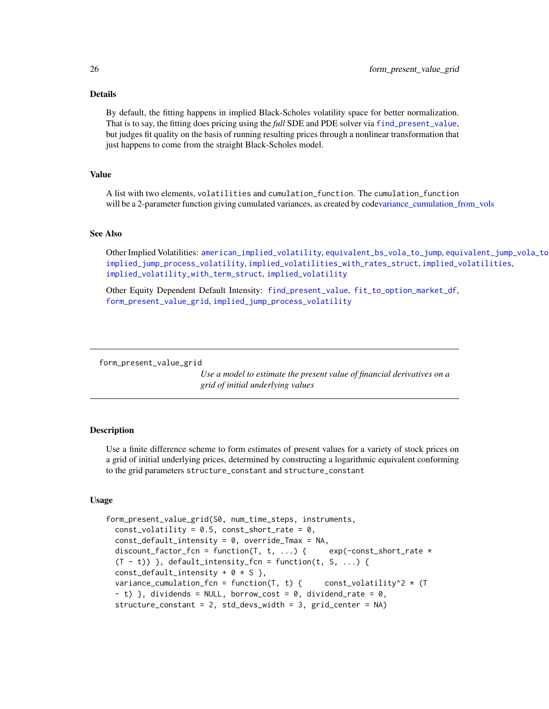#### Details

By default, the fitting happens in implied Black-Scholes volatility space for better normalization. That is to say, the fitting does pricing using the *full* SDE and PDE solver via [find\\_present\\_value](#page-19-1), but judges fit quality on the basis of running resulting prices through a nonlinear transformation that just happens to come from the straight Black-Scholes model.

#### Value

A list with two elements, volatilities and cumulation\_function. The cumulation\_function will be a 2-parameter function giving cumulated variances, as created by cod[evariance\\_cumulation\\_from\\_vols](#page-51-1)

#### See Also

Other Implied Volatilities: [american\\_implied\\_volatility](#page-6-1), [equivalent\\_bs\\_vola\\_to\\_jump](#page-16-1), [equivalent\\_jump\\_vola\\_to\\_bs](#page-18-1), [implied\\_jump\\_process\\_volatility](#page-27-1), [implied\\_volatilities\\_with\\_rates\\_struct](#page-30-1), [implied\\_volatilities](#page-29-1), [implied\\_volatility\\_with\\_term\\_struct](#page-33-1), [implied\\_volatility](#page-31-1)

Other Equity Dependent Default Intensity: [find\\_present\\_value](#page-19-1), [fit\\_to\\_option\\_market\\_df](#page-22-1), [form\\_present\\_value\\_grid](#page-25-1), [implied\\_jump\\_process\\_volatility](#page-27-1)

<span id="page-25-1"></span>form\_present\_value\_grid

*Use a model to estimate the present value of financial derivatives on a grid of initial underlying values*

#### **Description**

Use a finite difference scheme to form estimates of present values for a variety of stock prices on a grid of initial underlying prices, determined by constructing a logarithmic equivalent conforming to the grid parameters structure\_constant and structure\_constant

#### Usage

```
form_present_value_grid(S0, num_time_steps, instruments,
 const_volatility = 0.5, const_short_rate = 0,
 const_default_intensity = 0, override_Tmax = NA,
 discount_factor_fcn = function(T, t, ...) { exp(-const\_short\_rate *(T - t)) }, default_intensity_fcn = function(t, S, ...) {
 const_default_intensity + 0 * S },
 variance_cumulation_fcn = function(T, t) { const_volatility^2 \star (T)
 - t) }, dividends = NULL, borrow_cost = 0, dividend_rate = 0,
 structure_constant = 2, std_devs_width = 3, grid_center = NA)
```
<span id="page-25-0"></span>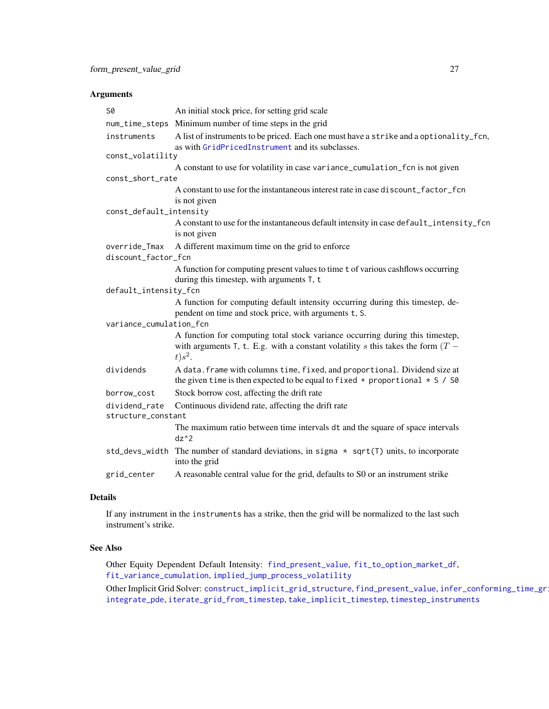### <span id="page-26-0"></span>Arguments

| S0                                  | An initial stock price, for setting grid scale                                                                                                                                      |  |
|-------------------------------------|-------------------------------------------------------------------------------------------------------------------------------------------------------------------------------------|--|
|                                     | num_time_steps Minimum number of time steps in the grid                                                                                                                             |  |
| instruments                         | A list of instruments to be priced. Each one must have a strike and a optionality_fcn,<br>as with GridPricedInstrument and its subclasses.                                          |  |
| const_volatility                    |                                                                                                                                                                                     |  |
|                                     | A constant to use for volatility in case variance_cumulation_fcn is not given                                                                                                       |  |
| const_short_rate                    |                                                                                                                                                                                     |  |
|                                     | A constant to use for the instantaneous interest rate in case discount_factor_fcn<br>is not given                                                                                   |  |
| const_default_intensity             |                                                                                                                                                                                     |  |
|                                     | A constant to use for the instantaneous default intensity in case default_intensity_fcn<br>is not given                                                                             |  |
| override_Tmax                       | A different maximum time on the grid to enforce                                                                                                                                     |  |
| discount_factor_fcn                 |                                                                                                                                                                                     |  |
|                                     | A function for computing present values to time t of various cashflows occurring<br>during this timestep, with arguments T, t                                                       |  |
| default_intensity_fcn               |                                                                                                                                                                                     |  |
|                                     | A function for computing default intensity occurring during this timestep, de-<br>pendent on time and stock price, with arguments t, S.                                             |  |
| variance_cumulation_fcn             |                                                                                                                                                                                     |  |
|                                     | A function for computing total stock variance occurring during this timestep,<br>with arguments T, t. E.g. with a constant volatility s this takes the form $(T -$<br>$t$ ) $s^2$ . |  |
| dividends                           | A data. frame with columns time, fixed, and proportional. Dividend size at<br>the given time is then expected to be equal to fixed + proportional $* S / S0$                        |  |
| borrow_cost                         | Stock borrow cost, affecting the drift rate                                                                                                                                         |  |
| dividend rate<br>structure_constant | Continuous dividend rate, affecting the drift rate                                                                                                                                  |  |
|                                     | The maximum ratio between time intervals dt and the square of space intervals<br>$dz^2$                                                                                             |  |
|                                     | std_devs_width The number of standard deviations, in sigma $\star$ sqrt(T) units, to incorporate<br>into the grid                                                                   |  |
| grid_center                         | A reasonable central value for the grid, defaults to S0 or an instrument strike                                                                                                     |  |

### Details

If any instrument in the instruments has a strike, then the grid will be normalized to the last such instrument's strike.

### See Also

Other Equity Dependent Default Intensity: [find\\_present\\_value](#page-19-1), [fit\\_to\\_option\\_market\\_df](#page-22-1), [fit\\_variance\\_cumulation](#page-23-1), [implied\\_jump\\_process\\_volatility](#page-27-1)

Other Implicit Grid Solver: [construct\\_implicit\\_grid\\_structure](#page-11-1), [find\\_present\\_value](#page-19-1), infer\_conforming\_time\_gr [integrate\\_pde](#page-35-1), [iterate\\_grid\\_from\\_timestep](#page-37-1), [take\\_implicit\\_timestep](#page-46-1), [timestep\\_instruments](#page-47-1)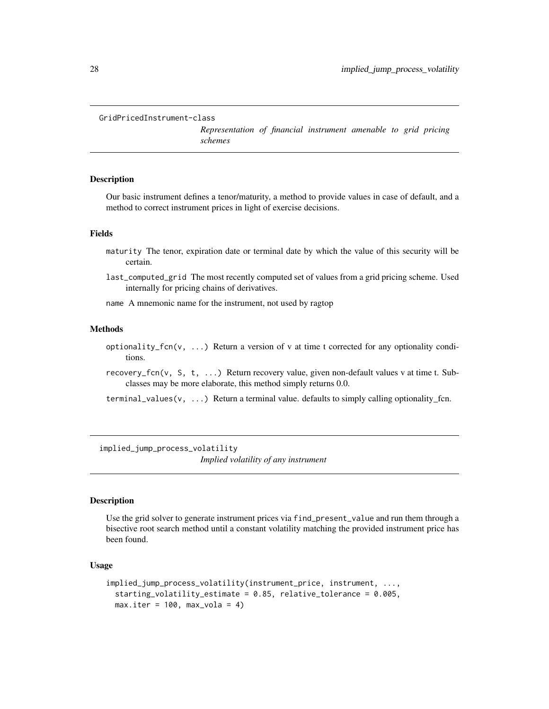```
GridPricedInstrument-class
```
*Representation of financial instrument amenable to grid pricing schemes*

#### <span id="page-27-2"></span>Description

Our basic instrument defines a tenor/maturity, a method to provide values in case of default, and a method to correct instrument prices in light of exercise decisions.

#### Fields

- maturity The tenor, expiration date or terminal date by which the value of this security will be certain.
- last\_computed\_grid The most recently computed set of values from a grid pricing scheme. Used internally for pricing chains of derivatives.
- name A mnemonic name for the instrument, not used by ragtop

### Methods

- optionality\_fcn(v,  $\dots$ ) Return a version of v at time t corrected for any optionality conditions.
- recovery\_fcn(v, S, t, ...) Return recovery value, given non-default values v at time t. Subclasses may be more elaborate, this method simply returns 0.0.
- terminal\_values( $v, \ldots$ ) Return a terminal value. defaults to simply calling optionality\_fcn.

<span id="page-27-1"></span>implied\_jump\_process\_volatility *Implied volatility of any instrument*

#### Description

Use the grid solver to generate instrument prices via find\_present\_value and run them through a bisective root search method until a constant volatility matching the provided instrument price has been found.

### Usage

```
implied_jump_process_volatility(instrument_price, instrument, ...,
 starting_volatility_estimate = 0.85, relative_tolerance = 0.005,
 max.iter = 100, max_vola = 4)
```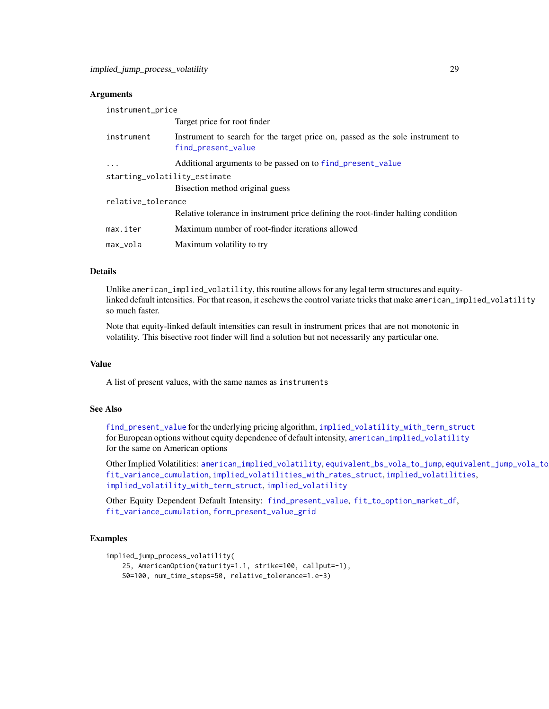#### <span id="page-28-0"></span>**Arguments**

| instrument_price             |                                                                                                      |  |
|------------------------------|------------------------------------------------------------------------------------------------------|--|
|                              | Target price for root finder                                                                         |  |
| instrument                   | Instrument to search for the target price on, passed as the sole instrument to<br>find_present_value |  |
| $\cdots$                     | Additional arguments to be passed on to find_present_value                                           |  |
| starting_volatility_estimate |                                                                                                      |  |
|                              | Bisection method original guess                                                                      |  |
| relative_tolerance           |                                                                                                      |  |
|                              | Relative tolerance in instrument price defining the root-finder halting condition                    |  |
| max.iter                     | Maximum number of root-finder iterations allowed                                                     |  |
| max_vola                     | Maximum volatility to try                                                                            |  |

### Details

Unlike american\_implied\_volatility, this routine allows for any legal term structures and equitylinked default intensities. For that reason, it eschews the control variate tricks that make american\_implied\_volatility so much faster.

Note that equity-linked default intensities can result in instrument prices that are not monotonic in volatility. This bisective root finder will find a solution but not necessarily any particular one.

#### Value

A list of present values, with the same names as instruments

### See Also

[find\\_present\\_value](#page-19-1) for the underlying pricing algorithm, [implied\\_volatility\\_with\\_term\\_struct](#page-33-1) for European options without equity dependence of default intensity, [american\\_implied\\_volatility](#page-6-1) for the same on American options

Other Implied Volatilities: [american\\_implied\\_volatility](#page-6-1), [equivalent\\_bs\\_vola\\_to\\_jump](#page-16-1), [equivalent\\_jump\\_vola\\_to\\_bs](#page-18-1), [fit\\_variance\\_cumulation](#page-23-1), [implied\\_volatilities\\_with\\_rates\\_struct](#page-30-1), [implied\\_volatilities](#page-29-1), [implied\\_volatility\\_with\\_term\\_struct](#page-33-1), [implied\\_volatility](#page-31-1)

Other Equity Dependent Default Intensity: [find\\_present\\_value](#page-19-1), [fit\\_to\\_option\\_market\\_df](#page-22-1), [fit\\_variance\\_cumulation](#page-23-1), [form\\_present\\_value\\_grid](#page-25-1)

#### Examples

```
implied_jump_process_volatility(
   25, AmericanOption(maturity=1.1, strike=100, callput=-1),
   S0=100, num_time_steps=50, relative_tolerance=1.e-3)
```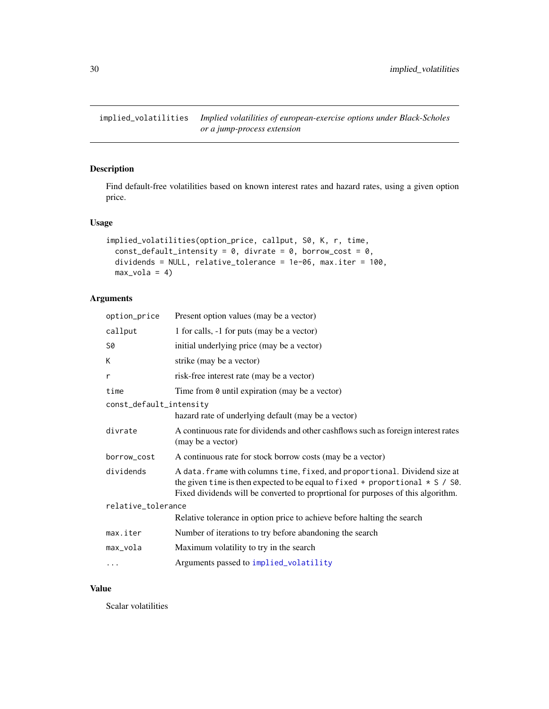<span id="page-29-1"></span><span id="page-29-0"></span>implied\_volatilities *Implied volatilities of european-exercise options under Black-Scholes or a jump-process extension*

### Description

Find default-free volatilities based on known interest rates and hazard rates, using a given option price.

### Usage

```
implied_volatilities(option_price, callput, S0, K, r, time,
 const_default_intensity = 0, divrate = 0, borrow_cost = 0,
 dividends = NULL, relative_tolerance = 1e-06, max.iter = 100,
 max_vola = 4
```
### Arguments

| option_price            | Present option values (may be a vector)                                                                                                                                                                                                               |
|-------------------------|-------------------------------------------------------------------------------------------------------------------------------------------------------------------------------------------------------------------------------------------------------|
| callput                 | 1 for calls, -1 for puts (may be a vector)                                                                                                                                                                                                            |
| S0                      | initial underlying price (may be a vector)                                                                                                                                                                                                            |
| K                       | strike (may be a vector)                                                                                                                                                                                                                              |
| r                       | risk-free interest rate (may be a vector)                                                                                                                                                                                                             |
| time                    | Time from $\theta$ until expiration (may be a vector)                                                                                                                                                                                                 |
| const_default_intensity |                                                                                                                                                                                                                                                       |
|                         | hazard rate of underlying default (may be a vector)                                                                                                                                                                                                   |
| divrate                 | A continuous rate for dividends and other cashflows such as foreign interest rates<br>(may be a vector)                                                                                                                                               |
| borrow_cost             | A continuous rate for stock borrow costs (may be a vector)                                                                                                                                                                                            |
| dividends               | A data. frame with columns time, fixed, and proportional. Dividend size at<br>the given time is then expected to be equal to fixed + proportional $\star$ S / S0.<br>Fixed dividends will be converted to proprtional for purposes of this algorithm. |
| relative_tolerance      |                                                                                                                                                                                                                                                       |
|                         | Relative tolerance in option price to achieve before halting the search                                                                                                                                                                               |
| max.iter                | Number of iterations to try before abandoning the search                                                                                                                                                                                              |
| max_vola                | Maximum volatility to try in the search                                                                                                                                                                                                               |
| .                       | Arguments passed to implied_volatility                                                                                                                                                                                                                |

#### Value

Scalar volatilities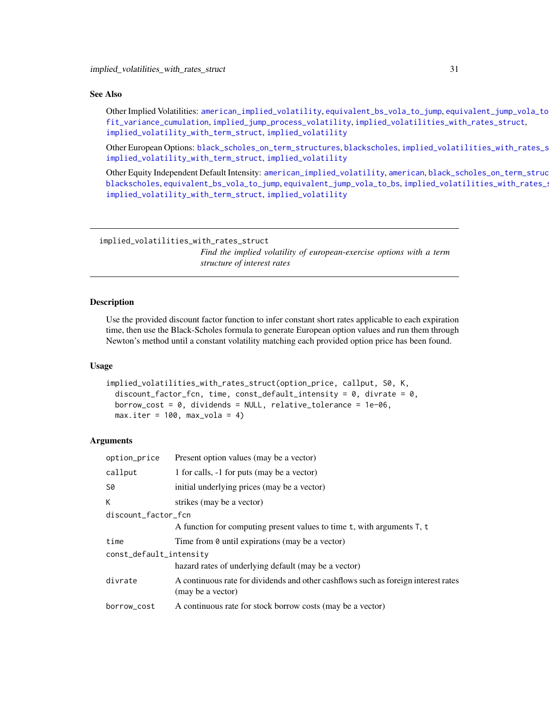#### <span id="page-30-0"></span>See Also

Other Implied Volatilities: [american\\_implied\\_volatility](#page-6-1), [equivalent\\_bs\\_vola\\_to\\_jump](#page-16-1), [equivalent\\_jump\\_vola\\_to\\_bs](#page-18-1), [fit\\_variance\\_cumulation](#page-23-1), [implied\\_jump\\_process\\_volatility](#page-27-1), [implied\\_volatilities\\_with\\_rates\\_struct](#page-30-1), [implied\\_volatility\\_with\\_term\\_struct](#page-33-1), [implied\\_volatility](#page-31-1)

Other European Options: [black\\_scholes\\_on\\_term\\_structures](#page-9-1), [blackscholes](#page-7-1), implied\_volatilities\_with\_rates\_s [implied\\_volatility\\_with\\_term\\_struct](#page-33-1), [implied\\_volatility](#page-31-1)

Other Equity Independent Default Intensity: [american\\_implied\\_volatility](#page-6-1), [american](#page-4-1), black\_scholes\_on\_term\_struc [blackscholes](#page-7-1), [equivalent\\_bs\\_vola\\_to\\_jump](#page-16-1), [equivalent\\_jump\\_vola\\_to\\_bs](#page-18-1), implied\_volatilities\_with\_rates\_s [implied\\_volatility\\_with\\_term\\_struct](#page-33-1), [implied\\_volatility](#page-31-1)

<span id="page-30-1"></span>implied\_volatilities\_with\_rates\_struct *Find the implied volatility of european-exercise options with a term*

#### *structure of interest rates*

#### Description

Use the provided discount factor function to infer constant short rates applicable to each expiration time, then use the Black-Scholes formula to generate European option values and run them through Newton's method until a constant volatility matching each provided option price has been found.

#### Usage

```
implied_volatilities_with_rates_struct(option_price, callput, S0, K,
 discount_factor_fcn, time, const_default_intensity = 0, divrate = 0,
 borrow_cost = 0, dividends = NULL, relative_tolerance = 1e-06,
 max.iter = 100, max_vola = 4)
```

| option_price            | Present option values (may be a vector)                                                                 |  |
|-------------------------|---------------------------------------------------------------------------------------------------------|--|
| callput                 | 1 for calls, -1 for puts (may be a vector)                                                              |  |
| S0                      | initial underlying prices (may be a vector)                                                             |  |
| K                       | strikes (may be a vector)                                                                               |  |
| discount_factor_fcn     |                                                                                                         |  |
|                         | A function for computing present values to time t, with arguments T, t                                  |  |
| time                    | Time from $\theta$ until expirations (may be a vector)                                                  |  |
| const_default_intensity |                                                                                                         |  |
|                         | hazard rates of underlying default (may be a vector)                                                    |  |
| divrate                 | A continuous rate for dividends and other cashflows such as foreign interest rates<br>(may be a vector) |  |
| borrow_cost             | A continuous rate for stock borrow costs (may be a vector)                                              |  |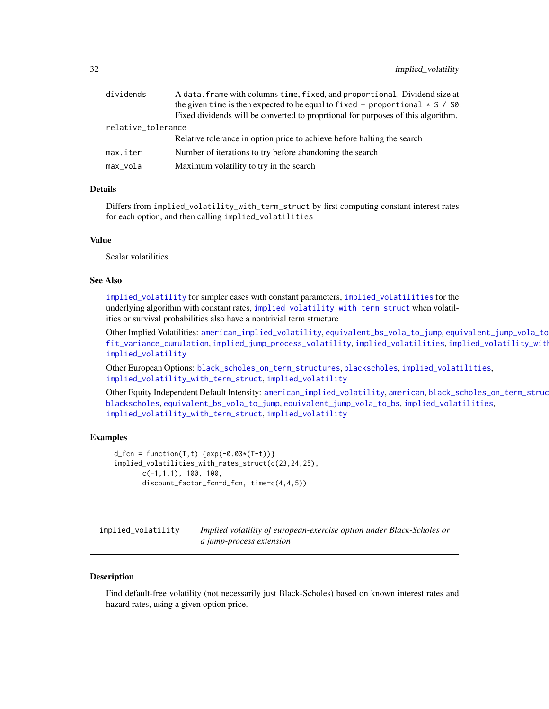<span id="page-31-0"></span>

| dividends<br>A data. frame with columns time, fixed, and proportional. Dividend size at |                                                                                     |  |
|-----------------------------------------------------------------------------------------|-------------------------------------------------------------------------------------|--|
|                                                                                         | the given time is then expected to be equal to fixed + proportional $\star$ S / S0. |  |
|                                                                                         | Fixed dividends will be converted to proprtional for purposes of this algorithm.    |  |
| relative_tolerance                                                                      |                                                                                     |  |
|                                                                                         | Relative tolerance in option price to achieve before halting the search             |  |
| max.iter                                                                                | Number of iterations to try before abandoning the search                            |  |
| max_vola                                                                                | Maximum volatility to try in the search                                             |  |
|                                                                                         |                                                                                     |  |

#### Details

Differs from implied\_volatility\_with\_term\_struct by first computing constant interest rates for each option, and then calling implied\_volatilities

#### Value

Scalar volatilities

### See Also

[implied\\_volatility](#page-31-1) for simpler cases with constant parameters, [implied\\_volatilities](#page-29-1) for the underlying algorithm with constant rates, [implied\\_volatility\\_with\\_term\\_struct](#page-33-1) when volatilities or survival probabilities also have a nontrivial term structure

Other Implied Volatilities: [american\\_implied\\_volatility](#page-6-1), [equivalent\\_bs\\_vola\\_to\\_jump](#page-16-1), [equivalent\\_jump\\_vola\\_to\\_bs](#page-18-1), [fit\\_variance\\_cumulation](#page-23-1), [implied\\_jump\\_process\\_volatility](#page-27-1), [implied\\_volatilities](#page-29-1), implied\_volatility\_with [implied\\_volatility](#page-31-1)

Other European Options: [black\\_scholes\\_on\\_term\\_structures](#page-9-1), [blackscholes](#page-7-1), [implied\\_volatilities](#page-29-1), [implied\\_volatility\\_with\\_term\\_struct](#page-33-1), [implied\\_volatility](#page-31-1)

Other Equity Independent Default Intensity: [american\\_implied\\_volatility](#page-6-1), [american](#page-4-1), black\_scholes\_on\_term\_struc [blackscholes](#page-7-1), [equivalent\\_bs\\_vola\\_to\\_jump](#page-16-1), [equivalent\\_jump\\_vola\\_to\\_bs](#page-18-1), [implied\\_volatilities](#page-29-1), [implied\\_volatility\\_with\\_term\\_struct](#page-33-1), [implied\\_volatility](#page-31-1)

#### Examples

```
d_{\text{fcn}} = function(T, t) \{ exp(-0.03*(T-t)) \}implied_volatilities_with_rates_struct(c(23,24,25),
       c(-1,1,1), 100, 100,discount_factor_fcn=d_fcn, time=c(4,4,5))
```
<span id="page-31-1"></span>implied\_volatility *Implied volatility of european-exercise option under Black-Scholes or a jump-process extension*

#### Description

Find default-free volatility (not necessarily just Black-Scholes) based on known interest rates and hazard rates, using a given option price.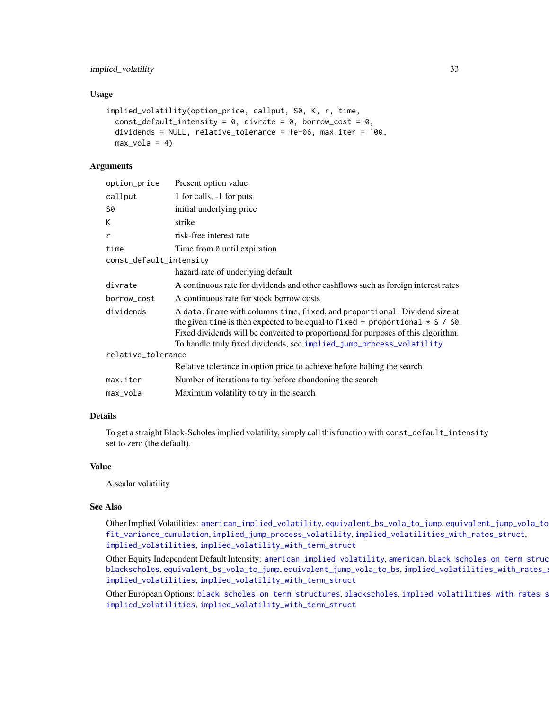### <span id="page-32-0"></span>implied\_volatility 33

#### Usage

```
implied_volatility(option_price, callput, S0, K, r, time,
 const_default_intensity = 0, divrate = 0, borrow_cost = 0,
 dividends = NULL, relative_tolerance = 1e-06, max.iter = 100,
 max_vola = 4
```
### Arguments

| Present option value                                                                                                                                                                                                                                                                                                           |  |
|--------------------------------------------------------------------------------------------------------------------------------------------------------------------------------------------------------------------------------------------------------------------------------------------------------------------------------|--|
| 1 for calls, -1 for puts                                                                                                                                                                                                                                                                                                       |  |
| initial underlying price                                                                                                                                                                                                                                                                                                       |  |
| strike                                                                                                                                                                                                                                                                                                                         |  |
| risk-free interest rate                                                                                                                                                                                                                                                                                                        |  |
| Time from 0 until expiration                                                                                                                                                                                                                                                                                                   |  |
| const_default_intensity                                                                                                                                                                                                                                                                                                        |  |
| hazard rate of underlying default                                                                                                                                                                                                                                                                                              |  |
| A continuous rate for dividends and other cashflows such as foreign interest rates                                                                                                                                                                                                                                             |  |
| A continuous rate for stock borrow costs                                                                                                                                                                                                                                                                                       |  |
| A data. frame with columns time, fixed, and proportional. Dividend size at<br>the given time is then expected to be equal to fixed + proportional $\star$ S / S0.<br>Fixed dividends will be converted to proportional for purposes of this algorithm.<br>To handle truly fixed dividends, see implied_jump_process_volatility |  |
| relative_tolerance                                                                                                                                                                                                                                                                                                             |  |
| Relative tolerance in option price to achieve before halting the search                                                                                                                                                                                                                                                        |  |
| Number of iterations to try before abandoning the search                                                                                                                                                                                                                                                                       |  |
| Maximum volatility to try in the search                                                                                                                                                                                                                                                                                        |  |
|                                                                                                                                                                                                                                                                                                                                |  |

#### Details

To get a straight Black-Scholes implied volatility, simply call this function with const\_default\_intensity set to zero (the default).

#### Value

A scalar volatility

### See Also

Other Implied Volatilities: [american\\_implied\\_volatility](#page-6-1), [equivalent\\_bs\\_vola\\_to\\_jump](#page-16-1), [equivalent\\_jump\\_vola\\_to\\_bs](#page-18-1), [fit\\_variance\\_cumulation](#page-23-1), [implied\\_jump\\_process\\_volatility](#page-27-1), [implied\\_volatilities\\_with\\_rates\\_struct](#page-30-1), [implied\\_volatilities](#page-29-1), [implied\\_volatility\\_with\\_term\\_struct](#page-33-1)

Other Equity Independent Default Intensity: [american\\_implied\\_volatility](#page-6-1), [american](#page-4-1), black\_scholes\_on\_term\_struc [blackscholes](#page-7-1), [equivalent\\_bs\\_vola\\_to\\_jump](#page-16-1), [equivalent\\_jump\\_vola\\_to\\_bs](#page-18-1), implied\_volatilities\_with\_rates\_s [implied\\_volatilities](#page-29-1), [implied\\_volatility\\_with\\_term\\_struct](#page-33-1)

Other European Options: [black\\_scholes\\_on\\_term\\_structures](#page-9-1), [blackscholes](#page-7-1), implied\_volatilities\_with\_rates\_s [implied\\_volatilities](#page-29-1), [implied\\_volatility\\_with\\_term\\_struct](#page-33-1)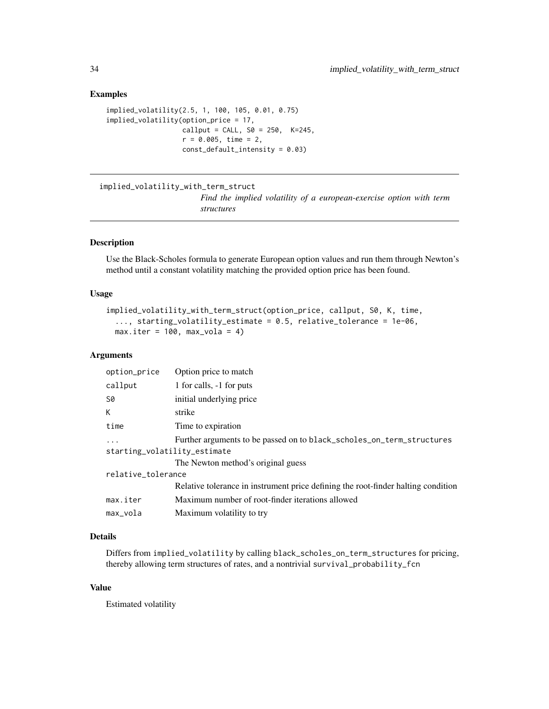#### Examples

```
implied_volatility(2.5, 1, 100, 105, 0.01, 0.75)
implied_volatility(option_price = 17,
                  callput = CALL, S0 = 250, K=245,r = 0.005, time = 2,
                  const_default_intensity = 0.03)
```

```
implied_volatility_with_term_struct
```
*Find the implied volatility of a european-exercise option with term structures*

#### Description

Use the Black-Scholes formula to generate European option values and run them through Newton's method until a constant volatility matching the provided option price has been found.

#### Usage

```
implied_volatility_with_term_struct(option_price, callput, S0, K, time,
 ..., starting_volatility_estimate = 0.5, relative_tolerance = 1e-06,
 max.iter = 100, max_vola = 4
```
### Arguments

| option_price                 | Option price to match                                                             |  |
|------------------------------|-----------------------------------------------------------------------------------|--|
| callput                      | 1 for calls, -1 for puts                                                          |  |
| S0                           | initial underlying price                                                          |  |
| K.                           | strike                                                                            |  |
| time                         | Time to expiration                                                                |  |
| $\ddots$ .                   | Further arguments to be passed on to black_scholes_on_term_structures             |  |
| starting_volatility_estimate |                                                                                   |  |
|                              | The Newton method's original guess                                                |  |
| relative_tolerance           |                                                                                   |  |
|                              | Relative tolerance in instrument price defining the root-finder halting condition |  |
| max.iter                     | Maximum number of root-finder iterations allowed                                  |  |
| max_vola                     | Maximum volatility to try                                                         |  |

### Details

Differs from implied\_volatility by calling black\_scholes\_on\_term\_structures for pricing, thereby allowing term structures of rates, and a nontrivial survival\_probability\_fcn

### Value

Estimated volatility

<span id="page-33-0"></span>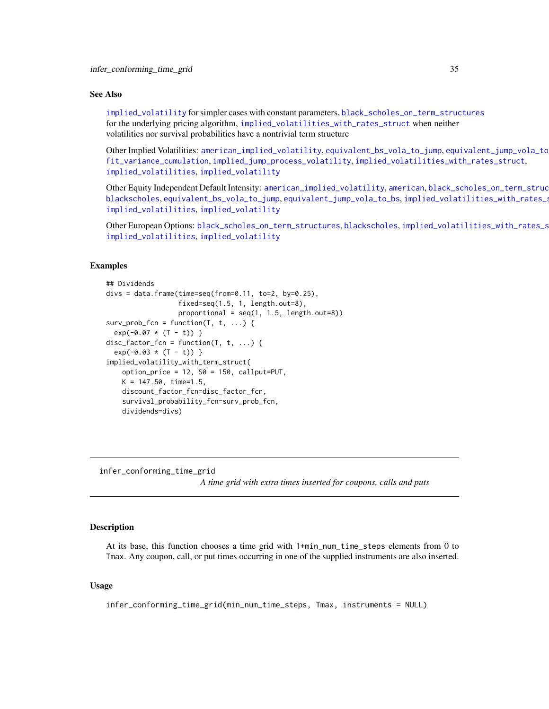#### <span id="page-34-0"></span>See Also

[implied\\_volatility](#page-31-1) for simpler cases with constant parameters, [black\\_scholes\\_on\\_term\\_structures](#page-9-1) for the underlying pricing algorithm, [implied\\_volatilities\\_with\\_rates\\_struct](#page-30-1) when neither volatilities nor survival probabilities have a nontrivial term structure

Other Implied Volatilities: [american\\_implied\\_volatility](#page-6-1), [equivalent\\_bs\\_vola\\_to\\_jump](#page-16-1), [equivalent\\_jump\\_vola\\_to\\_bs](#page-18-1), [fit\\_variance\\_cumulation](#page-23-1), [implied\\_jump\\_process\\_volatility](#page-27-1), [implied\\_volatilities\\_with\\_rates\\_struct](#page-30-1), [implied\\_volatilities](#page-29-1), [implied\\_volatility](#page-31-1)

Other Equity Independent Default Intensity: [american\\_implied\\_volatility](#page-6-1), [american](#page-4-1), black\_scholes\_on\_term\_struc [blackscholes](#page-7-1), [equivalent\\_bs\\_vola\\_to\\_jump](#page-16-1), [equivalent\\_jump\\_vola\\_to\\_bs](#page-18-1), [implied\\_volatilities\\_with\\_rates\\_struct](#page-30-1)ur [implied\\_volatilities](#page-29-1), [implied\\_volatility](#page-31-1)

Other European Options: [black\\_scholes\\_on\\_term\\_structures](#page-9-1), [blackscholes](#page-7-1), implied\_volatilities\_with\_rates\_s [implied\\_volatilities](#page-29-1), [implied\\_volatility](#page-31-1)

### Examples

```
## Dividends
divs = data.frame(time=seq(from=0.11, to=2, by=0.25),
                  fixed=seq(1.5, 1, length.out=8),
                  proportional = seq(1, 1.5, length.out=8))surv\_prob\_fcn = function(T, t, ...)exp(-0.07 \times (T - t))}
disc_factor_fcn = function(T, t, ...)exp(-0.03 \times (T - t))}
implied_volatility_with_term_struct(
    option_price = 12, S0 = 150, callput=PUT,
   K = 147.50, time=1.5,
   discount_factor_fcn=disc_factor_fcn,
    survival_probability_fcn=surv_prob_fcn,
    dividends=divs)
```
<span id="page-34-1"></span>infer\_conforming\_time\_grid

*A time grid with extra times inserted for coupons, calls and puts*

#### Description

At its base, this function chooses a time grid with 1+min\_num\_time\_steps elements from 0 to Tmax. Any coupon, call, or put times occurring in one of the supplied instruments are also inserted.

#### Usage

infer\_conforming\_time\_grid(min\_num\_time\_steps, Tmax, instruments = NULL)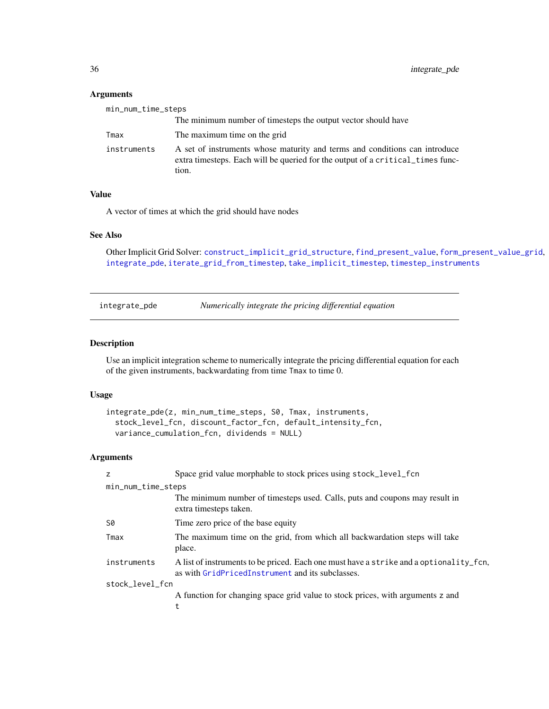### Arguments

| min_num_time_steps |                                                                                                                                                                       |
|--------------------|-----------------------------------------------------------------------------------------------------------------------------------------------------------------------|
|                    | The minimum number of timesteps the output vector should have                                                                                                         |
| Tmax               | The maximum time on the grid                                                                                                                                          |
| instruments        | A set of instruments whose maturity and terms and conditions can introduce<br>extra timesteps. Each will be queried for the output of a critical times func-<br>tion. |

### Value

A vector of times at which the grid should have nodes

### See Also

```
Other Implicit Grid Solver: construct_implicit_grid_structure, find_present_value, form_present_value_grid,
integrate_pde, iterate_grid_from_timestep, take_implicit_timestep, timestep_instruments
```
<span id="page-35-1"></span>integrate\_pde *Numerically integrate the pricing differential equation*

#### Description

Use an implicit integration scheme to numerically integrate the pricing differential equation for each of the given instruments, backwardating from time Tmax to time 0.

#### Usage

```
integrate_pde(z, min_num_time_steps, S0, Tmax, instruments,
  stock_level_fcn, discount_factor_fcn, default_intensity_fcn,
 variance_cumulation_fcn, dividends = NULL)
```

| Z                  | Space grid value morphable to stock prices using stock_level_fcn                                                                           |  |
|--------------------|--------------------------------------------------------------------------------------------------------------------------------------------|--|
| min_num_time_steps |                                                                                                                                            |  |
|                    | The minimum number of timesteps used. Calls, puts and coupons may result in<br>extra timesteps taken.                                      |  |
| S0                 | Time zero price of the base equity                                                                                                         |  |
| Tmax               | The maximum time on the grid, from which all backwardation steps will take<br>place.                                                       |  |
| instruments        | A list of instruments to be priced. Each one must have a strike and a optionality fcn,<br>as with GridPricedInstrument and its subclasses. |  |
| stock_level_fcn    |                                                                                                                                            |  |
|                    | A function for changing space grid value to stock prices, with arguments z and                                                             |  |
|                    |                                                                                                                                            |  |

<span id="page-35-0"></span>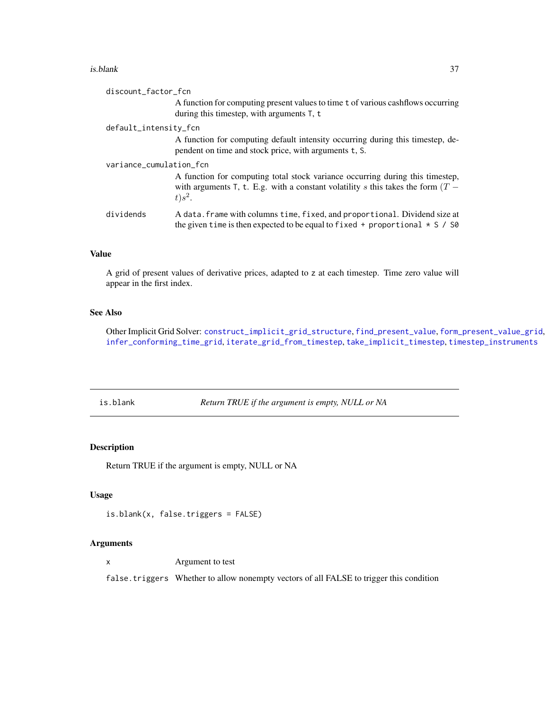#### <span id="page-36-0"></span>is.blank 37

| A function for computing present values to time t of various cashflows occurring<br>during this timestep, with arguments $T$ , t                                                                               |  |
|----------------------------------------------------------------------------------------------------------------------------------------------------------------------------------------------------------------|--|
| default_intensity_fcn                                                                                                                                                                                          |  |
| A function for computing default intensity occurring during this timestep, de-<br>pendent on time and stock price, with arguments t, S.                                                                        |  |
| variance_cumulation_fcn<br>A function for computing total stock variance occurring during this timestep,<br>with arguments T, t. E.g. with a constant volatility s this takes the form $(T -$<br>$t$ ) $s^2$ . |  |
| dividends<br>A data. frame with columns time, fixed, and proportional. Dividend size at<br>the given time is then expected to be equal to fixed + proportional $* S / S0$                                      |  |

### Value

A grid of present values of derivative prices, adapted to z at each timestep. Time zero value will appear in the first index.

### See Also

Other Implicit Grid Solver: [construct\\_implicit\\_grid\\_structure](#page-11-1), [find\\_present\\_value](#page-19-1), [form\\_present\\_value\\_grid](#page-25-1), [infer\\_conforming\\_time\\_grid](#page-34-1), [iterate\\_grid\\_from\\_timestep](#page-37-1), [take\\_implicit\\_timestep](#page-46-1), [timestep\\_instruments](#page-47-1)

is.blank *Return TRUE if the argument is empty, NULL or NA*

### Description

Return TRUE if the argument is empty, NULL or NA

### Usage

```
is.blank(x, false.triggers = FALSE)
```
#### Arguments

x Argument to test

false.triggers Whether to allow nonempty vectors of all FALSE to trigger this condition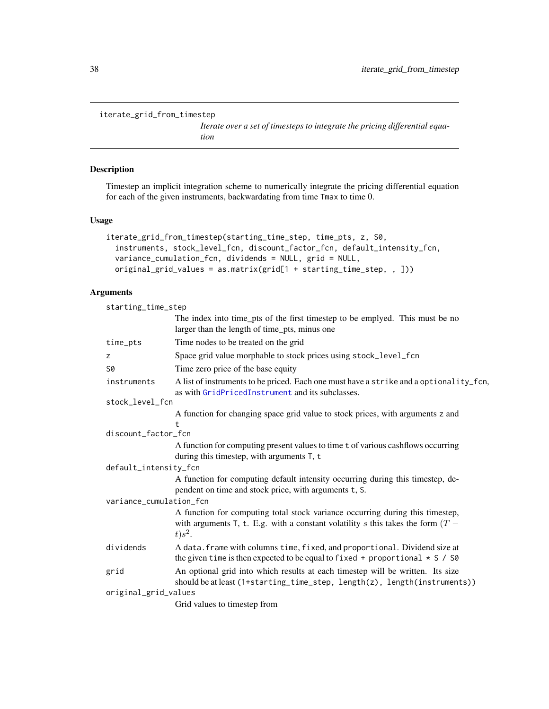```
iterate_grid_from_timestep
```
*Iterate over a set of timesteps to integrate the pricing differential equation*

#### Description

Timestep an implicit integration scheme to numerically integrate the pricing differential equation for each of the given instruments, backwardating from time Tmax to time 0.

#### Usage

```
iterate_grid_from_timestep(starting_time_step, time_pts, z, S0,
 instruments, stock_level_fcn, discount_factor_fcn, default_intensity_fcn,
 variance_cumulation_fcn, dividends = NULL, grid = NULL,
 original_grid_values = as.matrix(grid[1 + starting_time_step, , ]))
```

| starting_time_step      |                                                                                                                                                                                  |  |
|-------------------------|----------------------------------------------------------------------------------------------------------------------------------------------------------------------------------|--|
|                         | The index into time_pts of the first timestep to be emplyed. This must be no<br>larger than the length of time_pts, minus one                                                    |  |
| time_pts                | Time nodes to be treated on the grid                                                                                                                                             |  |
| Z                       | Space grid value morphable to stock prices using stock_level_fcn                                                                                                                 |  |
| S0                      | Time zero price of the base equity                                                                                                                                               |  |
| instruments             | A list of instruments to be priced. Each one must have a strike and a optionality_fcn,<br>as with GridPricedInstrument and its subclasses.                                       |  |
| stock_level_fcn         |                                                                                                                                                                                  |  |
|                         | A function for changing space grid value to stock prices, with arguments z and<br>t.                                                                                             |  |
| discount_factor_fcn     |                                                                                                                                                                                  |  |
|                         | A function for computing present values to time t of various cashflows occurring<br>during this timestep, with arguments T, t                                                    |  |
| default_intensity_fcn   |                                                                                                                                                                                  |  |
|                         | A function for computing default intensity occurring during this timestep, de-<br>pendent on time and stock price, with arguments t, S.                                          |  |
| variance_cumulation_fcn |                                                                                                                                                                                  |  |
|                         | A function for computing total stock variance occurring during this timestep,<br>with arguments T, t. E.g. with a constant volatility s this takes the form $(T -$<br>$t) s^2$ . |  |
| dividends               | A data. frame with columns time, fixed, and proportional. Dividend size at<br>the given time is then expected to be equal to fixed + proportional $* S / S0$                     |  |
| grid                    | An optional grid into which results at each timestep will be written. Its size<br>should be at least (1+starting_time_step, length(z), length(instruments))                      |  |
| original_grid_values    |                                                                                                                                                                                  |  |
|                         | Grid values to timestep from                                                                                                                                                     |  |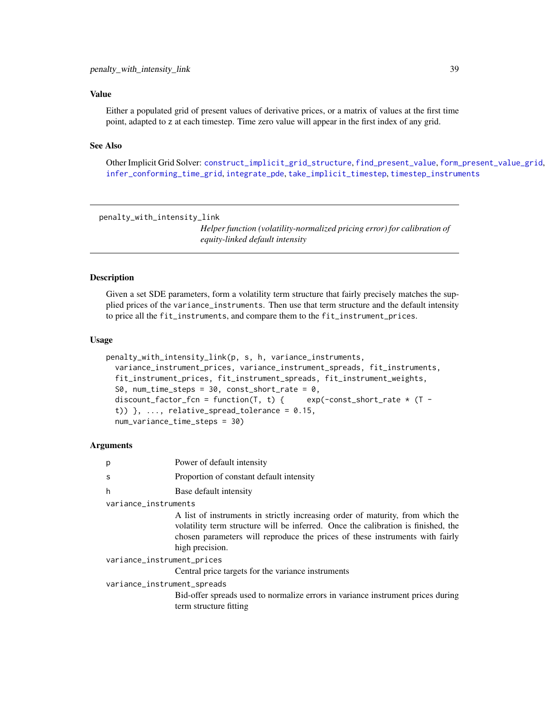#### <span id="page-38-0"></span>Value

Either a populated grid of present values of derivative prices, or a matrix of values at the first time point, adapted to z at each timestep. Time zero value will appear in the first index of any grid.

#### See Also

Other Implicit Grid Solver: [construct\\_implicit\\_grid\\_structure](#page-11-1), [find\\_present\\_value](#page-19-1), [form\\_present\\_value\\_grid](#page-25-1), [infer\\_conforming\\_time\\_grid](#page-34-1), [integrate\\_pde](#page-35-1), [take\\_implicit\\_timestep](#page-46-1), [timestep\\_instruments](#page-47-1)

<span id="page-38-1"></span>penalty\_with\_intensity\_link

*Helper function (volatility-normalized pricing error) for calibration of equity-linked default intensity*

#### Description

Given a set SDE parameters, form a volatility term structure that fairly precisely matches the supplied prices of the variance\_instruments. Then use that term structure and the default intensity to price all the fit\_instruments, and compare them to the fit\_instrument\_prices.

#### Usage

```
penalty_with_intensity_link(p, s, h, variance_instruments,
  variance_instrument_prices, variance_instrument_spreads, fit_instruments,
  fit_instrument_prices, fit_instrument_spreads, fit_instrument_weights,
  S0, num_time_steps = 30, const_short_rate = 0,
  discount_factor_fcn = function(T, t) { exp(-const\_short\_rate * (T -t)) \}, ..., relative_spread_tolerance = 0.15,
  num_variance_time_steps = 30)
```

| p                           | Power of default intensity                                                                                                                                                                                                                                             |
|-----------------------------|------------------------------------------------------------------------------------------------------------------------------------------------------------------------------------------------------------------------------------------------------------------------|
| S                           | Proportion of constant default intensity                                                                                                                                                                                                                               |
| h                           | Base default intensity                                                                                                                                                                                                                                                 |
| variance_instruments        |                                                                                                                                                                                                                                                                        |
|                             | A list of instruments in strictly increasing order of maturity, from which the<br>volatility term structure will be inferred. Once the calibration is finished, the<br>chosen parameters will reproduce the prices of these instruments with fairly<br>high precision. |
| variance_instrument_prices  |                                                                                                                                                                                                                                                                        |
|                             | Central price targets for the variance instruments                                                                                                                                                                                                                     |
| variance_instrument_spreads |                                                                                                                                                                                                                                                                        |
|                             | Bid-offer spreads used to normalize errors in variance instrument prices during<br>term structure fitting                                                                                                                                                              |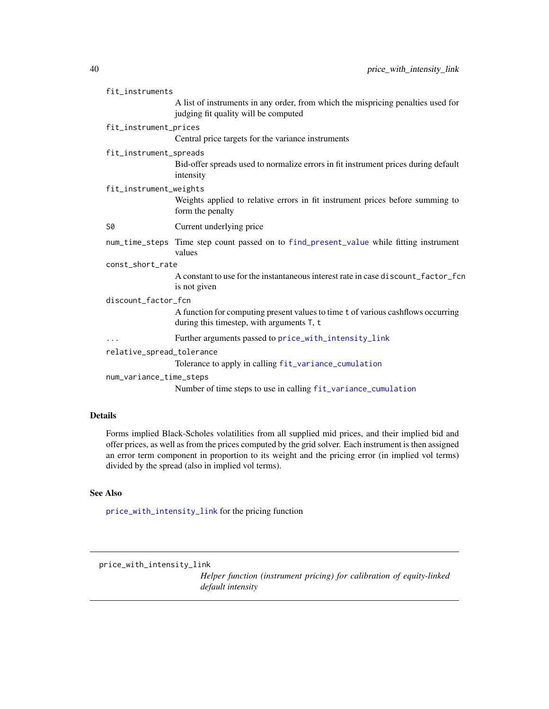| fit_instruments           |                                                                                                                               |
|---------------------------|-------------------------------------------------------------------------------------------------------------------------------|
|                           | A list of instruments in any order, from which the mispricing penalties used for<br>judging fit quality will be computed      |
| fit_instrument_prices     |                                                                                                                               |
|                           | Central price targets for the variance instruments                                                                            |
| fit_instrument_spreads    |                                                                                                                               |
|                           | Bid-offer spreads used to normalize errors in fit instrument prices during default<br>intensity                               |
| fit_instrument_weights    |                                                                                                                               |
|                           | Weights applied to relative errors in fit instrument prices before summing to<br>form the penalty                             |
| S0                        | Current underlying price                                                                                                      |
|                           | num_time_steps Time step count passed on to find_present_value while fitting instrument<br>values                             |
| const_short_rate          |                                                                                                                               |
|                           | A constant to use for the instantaneous interest rate in case discount_factor_fcn<br>is not given                             |
| discount_factor_fcn       |                                                                                                                               |
|                           | A function for computing present values to time t of various cashflows occurring<br>during this timestep, with arguments T, t |
| .                         | Further arguments passed to price_with_intensity_link                                                                         |
| relative_spread_tolerance | Tolerance to apply in calling fit_variance_cumulation                                                                         |
| num_variance_time_steps   |                                                                                                                               |
|                           | Number of time steps to use in calling fit_variance_cumulation                                                                |

### Details

Forms implied Black-Scholes volatilities from all supplied mid prices, and their implied bid and offer prices, as well as from the prices computed by the grid solver. Each instrument is then assigned an error term component in proportion to its weight and the pricing error (in implied vol terms) divided by the spread (also in implied vol terms).

### See Also

[price\\_with\\_intensity\\_link](#page-39-1) for the pricing function

<span id="page-39-1"></span>price\_with\_intensity\_link

*Helper function (instrument pricing) for calibration of equity-linked default intensity*

<span id="page-39-0"></span>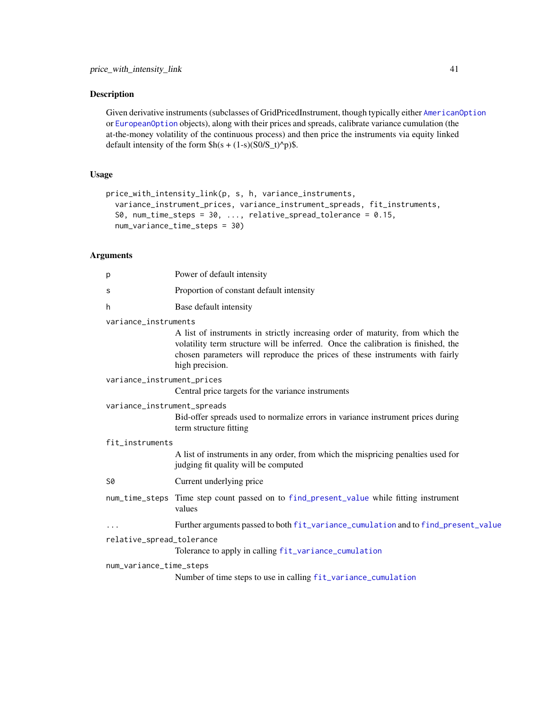### <span id="page-40-0"></span>Description

Given derivative instruments (subclasses of GridPricedInstrument, though typically either [AmericanOption](#page-5-1) or [EuropeanOption](#page-19-2) objects), along with their prices and spreads, calibrate variance cumulation (the at-the-money volatility of the continuous process) and then price the instruments via equity linked default intensity of the form  $h(s + (1-s)(S0/S_t)^p)$ .

#### Usage

```
price_with_intensity_link(p, s, h, variance_instruments,
  variance_instrument_prices, variance_instrument_spreads, fit_instruments,
  S0, num_time_steps = 30, \ldots, relative_spread_tolerance = 0.15,
  num_variance_time_steps = 30)
```

| р                           | Power of default intensity                                                                                                                                                                                                                                             |  |
|-----------------------------|------------------------------------------------------------------------------------------------------------------------------------------------------------------------------------------------------------------------------------------------------------------------|--|
| S                           | Proportion of constant default intensity                                                                                                                                                                                                                               |  |
| h                           | Base default intensity                                                                                                                                                                                                                                                 |  |
| variance_instruments        |                                                                                                                                                                                                                                                                        |  |
|                             | A list of instruments in strictly increasing order of maturity, from which the<br>volatility term structure will be inferred. Once the calibration is finished, the<br>chosen parameters will reproduce the prices of these instruments with fairly<br>high precision. |  |
| variance_instrument_prices  |                                                                                                                                                                                                                                                                        |  |
|                             | Central price targets for the variance instruments                                                                                                                                                                                                                     |  |
| variance_instrument_spreads |                                                                                                                                                                                                                                                                        |  |
|                             | Bid-offer spreads used to normalize errors in variance instrument prices during<br>term structure fitting                                                                                                                                                              |  |
| fit_instruments             |                                                                                                                                                                                                                                                                        |  |
|                             | A list of instruments in any order, from which the mispricing penalties used for<br>judging fit quality will be computed                                                                                                                                               |  |
| S0                          | Current underlying price                                                                                                                                                                                                                                               |  |
|                             | num_time_steps Time step count passed on to find_present_value while fitting instrument<br>values                                                                                                                                                                      |  |
| $\ddotsc$                   | Further arguments passed to both fit_variance_cumulation and to find_present_value                                                                                                                                                                                     |  |
| relative_spread_tolerance   |                                                                                                                                                                                                                                                                        |  |
|                             | Tolerance to apply in calling fit_variance_cumulation                                                                                                                                                                                                                  |  |
| num_variance_time_steps     |                                                                                                                                                                                                                                                                        |  |
|                             | Number of time steps to use in calling fit_variance_cumulation                                                                                                                                                                                                         |  |
|                             |                                                                                                                                                                                                                                                                        |  |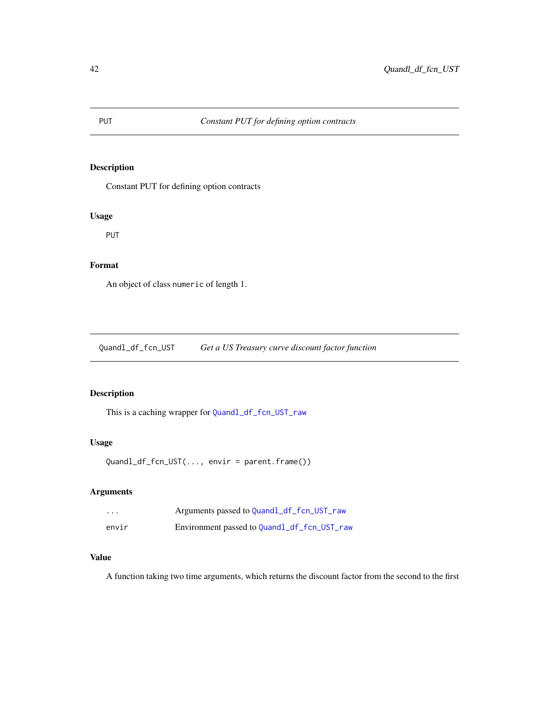### <span id="page-41-0"></span>Description

Constant PUT for defining option contracts

### Usage

PUT

### Format

An object of class numeric of length 1.

Quandl\_df\_fcn\_UST *Get a US Treasury curve discount factor function*

### Description

This is a caching wrapper for [Quandl\\_df\\_fcn\\_UST\\_raw](#page-42-1)

### Usage

Quandl\_df\_fcn\_UST(..., envir = parent.frame())

### Arguments

| $\cdot$ $\cdot$ $\cdot$ | Arguments passed to Quandl_df_fcn_UST_raw   |
|-------------------------|---------------------------------------------|
| envir                   | Environment passed to Quandl_df_fcn_UST_raw |

### Value

A function taking two time arguments, which returns the discount factor from the second to the first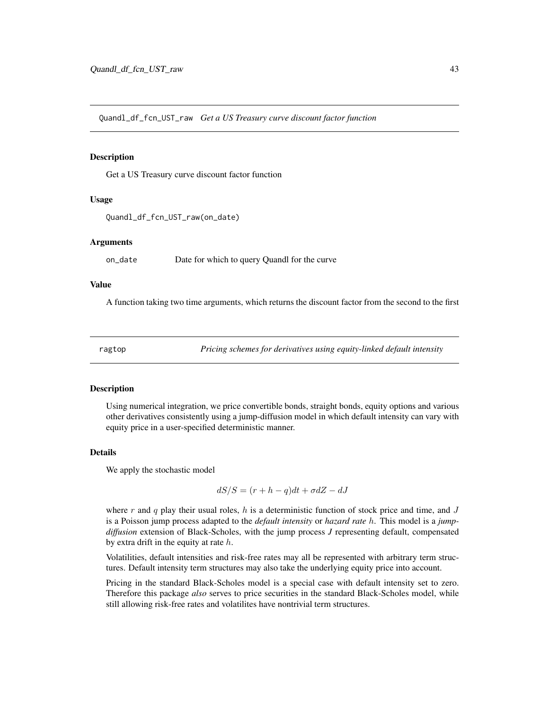<span id="page-42-1"></span><span id="page-42-0"></span>Quandl\_df\_fcn\_UST\_raw *Get a US Treasury curve discount factor function*

### Description

Get a US Treasury curve discount factor function

#### Usage

```
Quandl_df_fcn_UST_raw(on_date)
```
#### Arguments

on\_date Date for which to query Quandl for the curve

### Value

A function taking two time arguments, which returns the discount factor from the second to the first

ragtop *Pricing schemes for derivatives using equity-linked default intensity*

#### Description

Using numerical integration, we price convertible bonds, straight bonds, equity options and various other derivatives consistently using a jump-diffusion model in which default intensity can vary with equity price in a user-specified deterministic manner.

#### Details

We apply the stochastic model

$$
dS/S = (r + h - q)dt + \sigma dZ - dJ
$$

where r and q play their usual roles, h is a deterministic function of stock price and time, and J is a Poisson jump process adapted to the *default intensity* or *hazard rate* h. This model is a *jumpdiffusion* extension of Black-Scholes, with the jump process *J* representing default, compensated by extra drift in the equity at rate  $h$ .

Volatilities, default intensities and risk-free rates may all be represented with arbitrary term structures. Default intensity term structures may also take the underlying equity price into account.

Pricing in the standard Black-Scholes model is a special case with default intensity set to zero. Therefore this package *also* serves to price securities in the standard Black-Scholes model, while still allowing risk-free rates and volatilites have nontrivial term structures.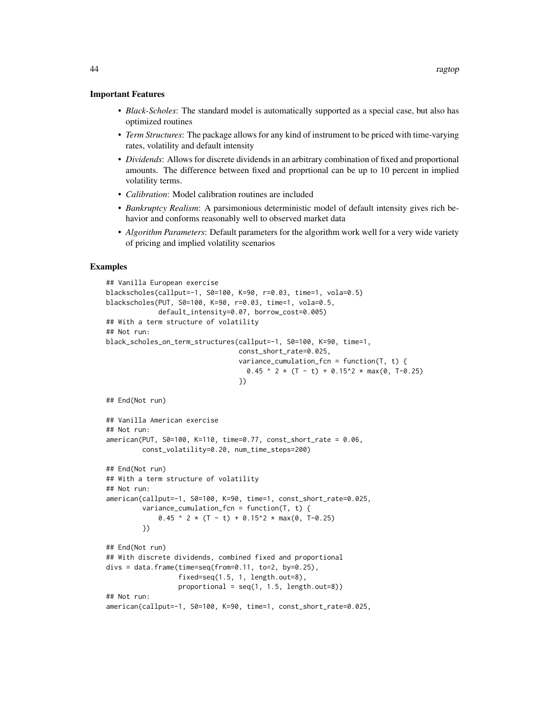#### Important Features

- *Black-Scholes*: The standard model is automatically supported as a special case, but also has optimized routines
- *Term Structures*: The package allows for any kind of instrument to be priced with time-varying rates, volatility and default intensity
- *Dividends*: Allows for discrete dividends in an arbitrary combination of fixed and proportional amounts. The difference between fixed and proprtional can be up to 10 percent in implied volatility terms.
- *Calibration*: Model calibration routines are included
- *Bankruptcy Realism*: A parsimonious deterministic model of default intensity gives rich behavior and conforms reasonably well to observed market data
- *Algorithm Parameters*: Default parameters for the algorithm work well for a very wide variety of pricing and implied volatility scenarios

#### Examples

```
## Vanilla European exercise
blackscholes(callput=-1, S0=100, K=90, r=0.03, time=1, vola=0.5)
blackscholes(PUT, S0=100, K=90, r=0.03, time=1, vola=0.5,
             default_intensity=0.07, borrow_cost=0.005)
## With a term structure of volatility
## Not run:
black_scholes_on_term_structures(callput=-1, S0=100, K=90, time=1,
                                 const_short_rate=0.025,
                                 variance_cumulation_fcn = function(T, t) {
                                   0.45 ^ 2 * (T - t) + 0.15^2 * max(0, T-0.25)
                                 })
## End(Not run)
## Vanilla American exercise
## Not run:
american(PUT, S0=100, K=110, time=0.77, const_short_rate = 0.06,
         const_volatility=0.20, num_time_steps=200)
## End(Not run)
## With a term structure of volatility
## Not run:
american(callput=-1, S0=100, K=90, time=1, const_short_rate=0.025,
         variance_cumulation_fcn = function(T, t) {
             0.45 \cdot 2 * (T - t) + 0.15<sup>2</sup> * max(0, T-0.25)
         })
## End(Not run)
## With discrete dividends, combined fixed and proportional
divs = data.frame(time=seq(from=0.11, to=2, by=0.25),
                  fixed=seq(1.5, 1, length.out=8),
                  proportional = seq(1, 1.5, length.out=8))## Not run:
american(callput=-1, S0=100, K=90, time=1, const_short_rate=0.025,
```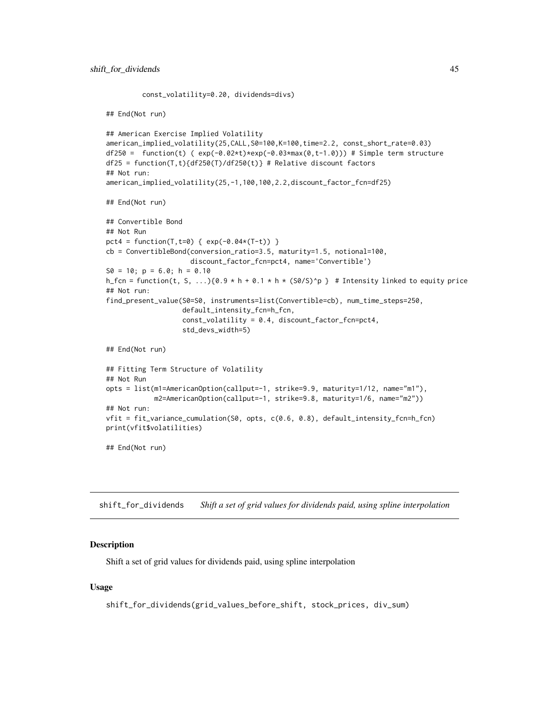const\_volatility=0.20, dividends=divs)

```
## End(Not run)
## American Exercise Implied Volatility
american_implied_volatility(25,CALL,S0=100,K=100,time=2.2, const_short_rate=0.03)
df250 = function(t) (exp(-0.02*t)*exp(-0.03*max(0,t-1.0))) # Simple term structure
df25 = function(T, t){df250(T)/df250(t)} # Relative discount factors
## Not run:
american_implied_volatility(25,-1,100,100,2.2,discount_factor_fcn=df25)
## End(Not run)
## Convertible Bond
## Not Run
pct4 = function(T, t=0) { exp(-0.04*(T-t)) }cb = ConvertibleBond(conversion_ratio=3.5, maturity=1.5, notional=100,
                     discount_factor_fcn=pct4, name='Convertible')
S0 = 10; p = 6.0; h = 0.10h_fcn = function(t, S, ...)\{0.9 * h + 0.1 * h * (S0/S)^p\} # Intensity linked to equity price
## Not run:
find_present_value(S0=S0, instruments=list(Convertible=cb), num_time_steps=250,
                   default_intensity_fcn=h_fcn,
                   const_volatility = 0.4, discount_factor_fcn=pct4,
                   std_devs_width=5)
## End(Not run)
## Fitting Term Structure of Volatility
## Not Run
opts = list(m1=AmericanOption(callput=-1, strike=9.9, maturity=1/12, name="m1"),
            m2=AmericanOption(callput=-1, strike=9.8, maturity=1/6, name="m2"))
## Not run:
vfit = fit_variance_cumulation(S0, opts, c(0.6, 0.8), default_intensity_fcn=h_fcn)
print(vfit$volatilities)
## End(Not run)
```
<span id="page-44-1"></span>shift\_for\_dividends *Shift a set of grid values for dividends paid, using spline interpolation*

#### **Description**

Shift a set of grid values for dividends paid, using spline interpolation

#### Usage

shift\_for\_dividends(grid\_values\_before\_shift, stock\_prices, div\_sum)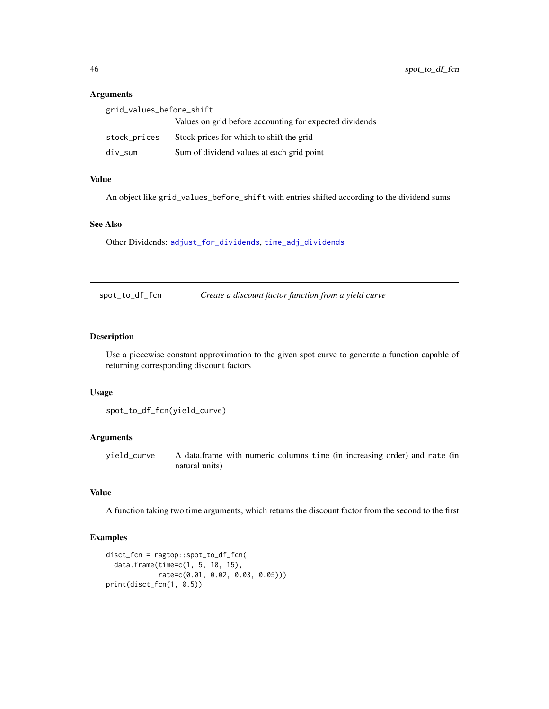#### Arguments

| grid_values_before_shift |                                                         |
|--------------------------|---------------------------------------------------------|
|                          | Values on grid before accounting for expected dividends |
| stock_prices             | Stock prices for which to shift the grid                |
| div_sum                  | Sum of dividend values at each grid point               |

### Value

An object like grid\_values\_before\_shift with entries shifted according to the dividend sums

#### See Also

Other Dividends: [adjust\\_for\\_dividends](#page-3-1), [time\\_adj\\_dividends](#page-48-1)

spot\_to\_df\_fcn *Create a discount factor function from a yield curve*

#### Description

Use a piecewise constant approximation to the given spot curve to generate a function capable of returning corresponding discount factors

#### Usage

```
spot_to_df_fcn(yield_curve)
```
### Arguments

yield\_curve A data.frame with numeric columns time (in increasing order) and rate (in natural units)

## Value

A function taking two time arguments, which returns the discount factor from the second to the first

### Examples

```
disct_fcn = ragtop::spot_to_df_fcn(
 data.frame(time=c(1, 5, 10, 15),
            rate=c(0.01, 0.02, 0.03, 0.05)))
print(disct_fcn(1, 0.5))
```
<span id="page-45-0"></span>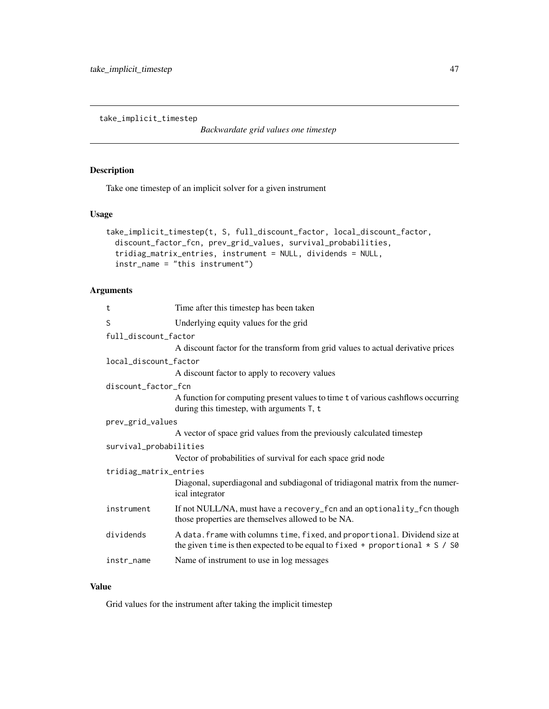<span id="page-46-1"></span><span id="page-46-0"></span>take\_implicit\_timestep

*Backwardate grid values one timestep*

### Description

Take one timestep of an implicit solver for a given instrument

### Usage

```
take_implicit_timestep(t, S, full_discount_factor, local_discount_factor,
  discount_factor_fcn, prev_grid_values, survival_probabilities,
  tridiag_matrix_entries, instrument = NULL, dividends = NULL,
  instr_name = "this instrument")
```
### Arguments

| Time after this timestep has been taken                                                                                                                      |  |  |
|--------------------------------------------------------------------------------------------------------------------------------------------------------------|--|--|
| Underlying equity values for the grid                                                                                                                        |  |  |
| full_discount_factor                                                                                                                                         |  |  |
| A discount factor for the transform from grid values to actual derivative prices                                                                             |  |  |
| local_discount_factor                                                                                                                                        |  |  |
| A discount factor to apply to recovery values                                                                                                                |  |  |
| discount_factor_fcn                                                                                                                                          |  |  |
| A function for computing present values to time t of various cashflows occurring<br>during this timestep, with arguments T, t                                |  |  |
| prev_grid_values                                                                                                                                             |  |  |
| A vector of space grid values from the previously calculated timestep                                                                                        |  |  |
| survival_probabilities                                                                                                                                       |  |  |
| Vector of probabilities of survival for each space grid node                                                                                                 |  |  |
| tridiag_matrix_entries                                                                                                                                       |  |  |
| Diagonal, superdiagonal and subdiagonal of tridiagonal matrix from the numer-<br>ical integrator                                                             |  |  |
| If not NULL/NA, must have a recovery_fcn and an optionality_fcn though<br>those properties are themselves allowed to be NA.                                  |  |  |
| A data. frame with columns time, fixed, and proportional. Dividend size at<br>the given time is then expected to be equal to fixed + proportional $* S / S0$ |  |  |
| Name of instrument to use in log messages                                                                                                                    |  |  |
|                                                                                                                                                              |  |  |

### Value

Grid values for the instrument after taking the implicit timestep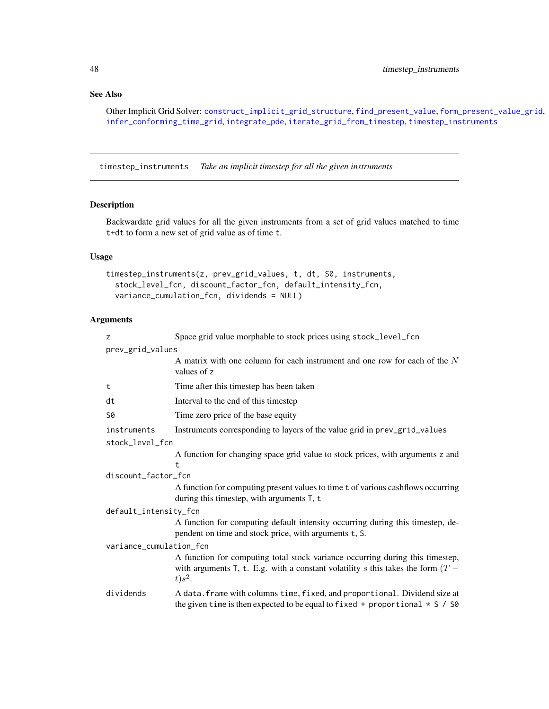### See Also

Other Implicit Grid Solver: [construct\\_implicit\\_grid\\_structure](#page-11-1), [find\\_present\\_value](#page-19-1), [form\\_present\\_value\\_grid](#page-25-1), [infer\\_conforming\\_time\\_grid](#page-34-1), [integrate\\_pde](#page-35-1), [iterate\\_grid\\_from\\_timestep](#page-37-1), [timestep\\_instruments](#page-47-1)

<span id="page-47-1"></span>timestep\_instruments *Take an implicit timestep for all the given instruments*

### Description

Backwardate grid values for all the given instruments from a set of grid values matched to time t+dt to form a new set of grid value as of time t.

### Usage

```
timestep_instruments(z, prev_grid_values, t, dt, S0, instruments,
  stock_level_fcn, discount_factor_fcn, default_intensity_fcn,
  variance_cumulation_fcn, dividends = NULL)
```

| z                       | Space grid value morphable to stock prices using stock_level_fcn                                                                                                                 |
|-------------------------|----------------------------------------------------------------------------------------------------------------------------------------------------------------------------------|
| prev_grid_values        |                                                                                                                                                                                  |
|                         | A matrix with one column for each instrument and one row for each of the $N$<br>values of z                                                                                      |
| t                       | Time after this timestep has been taken                                                                                                                                          |
| dt                      | Interval to the end of this timestep                                                                                                                                             |
| S0                      | Time zero price of the base equity                                                                                                                                               |
| instruments             | Instruments corresponding to layers of the value grid in prev_grid_values                                                                                                        |
| stock_level_fcn         |                                                                                                                                                                                  |
|                         | A function for changing space grid value to stock prices, with arguments z and<br>t                                                                                              |
| discount_factor_fcn     |                                                                                                                                                                                  |
|                         | A function for computing present values to time t of various cashflows occurring<br>during this timestep, with arguments T, t                                                    |
| default_intensity_fcn   |                                                                                                                                                                                  |
|                         | A function for computing default intensity occurring during this timestep, de-<br>pendent on time and stock price, with arguments t, S.                                          |
| variance_cumulation_fcn |                                                                                                                                                                                  |
|                         | A function for computing total stock variance occurring during this timestep,<br>with arguments T, t. E.g. with a constant volatility s this takes the form $(T -$<br>$t) s^2$ . |
| dividends               | A data. frame with columns time, fixed, and proportional. Dividend size at<br>the given time is then expected to be equal to fixed + proportional $* S / S0$                     |

<span id="page-47-0"></span>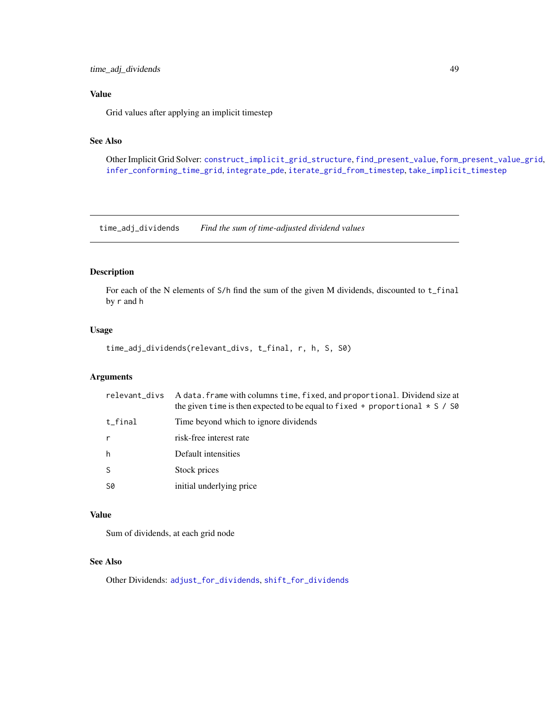### <span id="page-48-0"></span>Value

Grid values after applying an implicit timestep

### See Also

Other Implicit Grid Solver: [construct\\_implicit\\_grid\\_structure](#page-11-1), [find\\_present\\_value](#page-19-1), [form\\_present\\_value\\_grid](#page-25-1), [infer\\_conforming\\_time\\_grid](#page-34-1), [integrate\\_pde](#page-35-1), [iterate\\_grid\\_from\\_timestep](#page-37-1), [take\\_implicit\\_timestep](#page-46-1)

<span id="page-48-1"></span>time\_adj\_dividends *Find the sum of time-adjusted dividend values*

### Description

For each of the N elements of S/h find the sum of the given M dividends, discounted to t\_final by r and h

### Usage

time\_adj\_dividends(relevant\_divs, t\_final, r, h, S, S0)

#### Arguments

| relevant_divs | A data. frame with columns time, fixed, and proportional. Dividend size at<br>the given time is then expected to be equal to fixed + proportional $\star$ S / S0 |
|---------------|------------------------------------------------------------------------------------------------------------------------------------------------------------------|
| $t_f$ inal    | Time beyond which to ignore dividends                                                                                                                            |
| r             | risk-free interest rate                                                                                                                                          |
| h             | Default intensities                                                                                                                                              |
| S             | Stock prices                                                                                                                                                     |
| <b>S0</b>     | initial underlying price                                                                                                                                         |

### Value

Sum of dividends, at each grid node

#### See Also

Other Dividends: [adjust\\_for\\_dividends](#page-3-1), [shift\\_for\\_dividends](#page-44-1)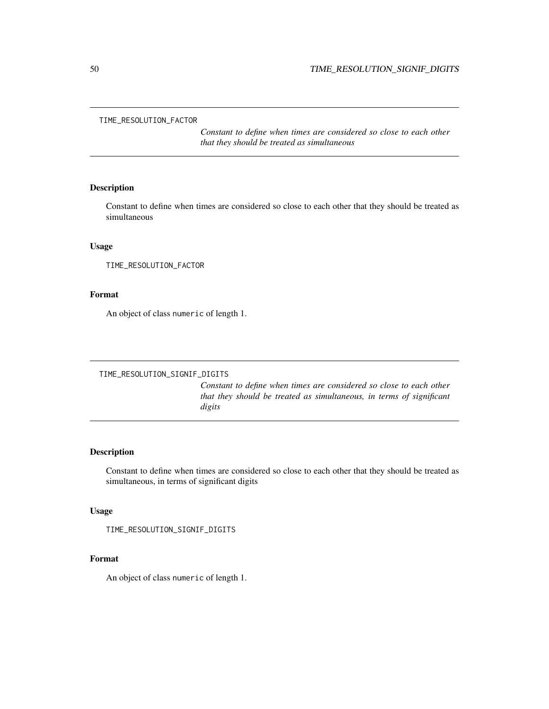<span id="page-49-0"></span>TIME\_RESOLUTION\_FACTOR

*Constant to define when times are considered so close to each other that they should be treated as simultaneous*

#### Description

Constant to define when times are considered so close to each other that they should be treated as simultaneous

### Usage

TIME\_RESOLUTION\_FACTOR

### Format

An object of class numeric of length 1.

TIME\_RESOLUTION\_SIGNIF\_DIGITS

*Constant to define when times are considered so close to each other that they should be treated as simultaneous, in terms of significant digits*

### Description

Constant to define when times are considered so close to each other that they should be treated as simultaneous, in terms of significant digits

#### Usage

```
TIME_RESOLUTION_SIGNIF_DIGITS
```
### Format

An object of class numeric of length 1.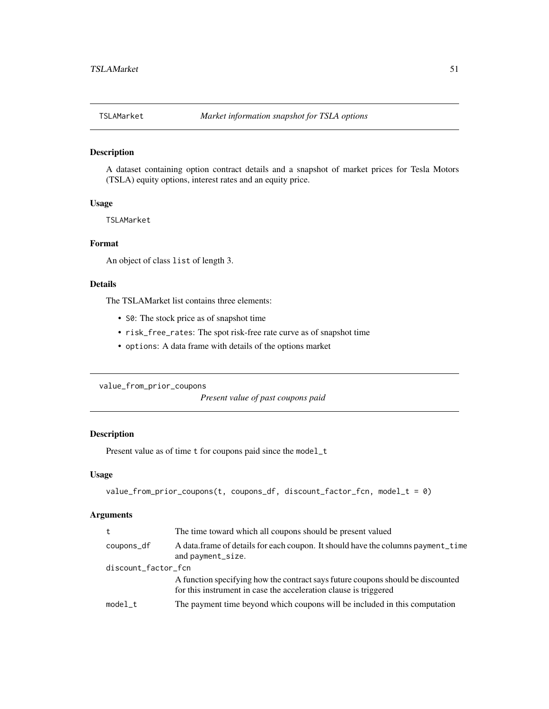<span id="page-50-0"></span>

### Description

A dataset containing option contract details and a snapshot of market prices for Tesla Motors (TSLA) equity options, interest rates and an equity price.

#### Usage

TSLAMarket

#### Format

An object of class list of length 3.

### Details

The TSLAMarket list contains three elements:

- S0: The stock price as of snapshot time
- risk\_free\_rates: The spot risk-free rate curve as of snapshot time
- options: A data frame with details of the options market

<span id="page-50-1"></span>value\_from\_prior\_coupons

*Present value of past coupons paid*

### Description

Present value as of time t for coupons paid since the model\_t

#### Usage

```
value_from_prior_coupons(t, coupons_df, discount_factor_fcn, model_t = 0)
```

| t                   | The time toward which all coupons should be present valued                                                                                          |
|---------------------|-----------------------------------------------------------------------------------------------------------------------------------------------------|
| coupons_df          | A data. frame of details for each coupon. It should have the columns payment time<br>and payment_size.                                              |
| discount_factor_fcn |                                                                                                                                                     |
|                     | A function specifying how the contract says future coupons should be discounted<br>for this instrument in case the acceleration clause is triggered |
| model t             | The payment time beyond which coupons will be included in this computation                                                                          |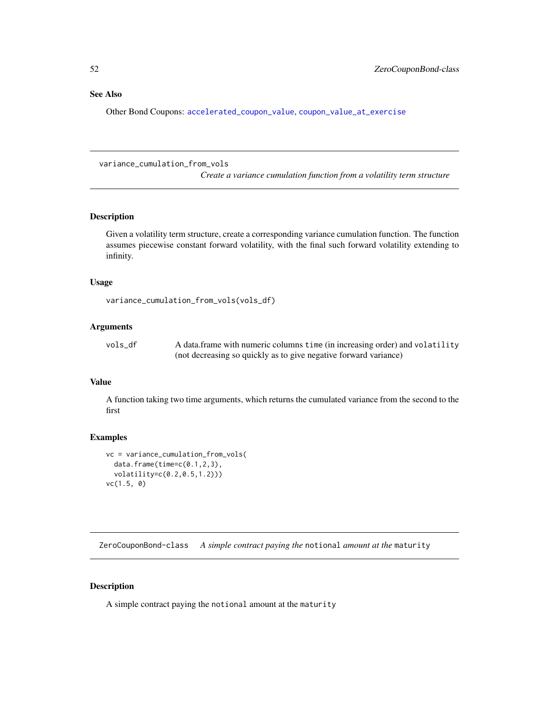#### <span id="page-51-0"></span>See Also

Other Bond Coupons: [accelerated\\_coupon\\_value](#page-2-1), [coupon\\_value\\_at\\_exercise](#page-15-1)

<span id="page-51-1"></span>variance\_cumulation\_from\_vols

*Create a variance cumulation function from a volatility term structure*

### Description

Given a volatility term structure, create a corresponding variance cumulation function. The function assumes piecewise constant forward volatility, with the final such forward volatility extending to infinity.

### Usage

```
variance_cumulation_from_vols(vols_df)
```
### Arguments

| vols df | A data frame with numeric columns time (in increasing order) and volatility |
|---------|-----------------------------------------------------------------------------|
|         | (not decreasing so quickly as to give negative forward variance)            |

### Value

A function taking two time arguments, which returns the cumulated variance from the second to the first

#### Examples

```
vc = variance_cumulation_from_vols(
  data.frame(time=c(0.1,2,3),
  volatility=c(0.2,0.5,1.2)))
vc(1.5, 0)
```
ZeroCouponBond-class *A simple contract paying the* notional *amount at the* maturity

### Description

A simple contract paying the notional amount at the maturity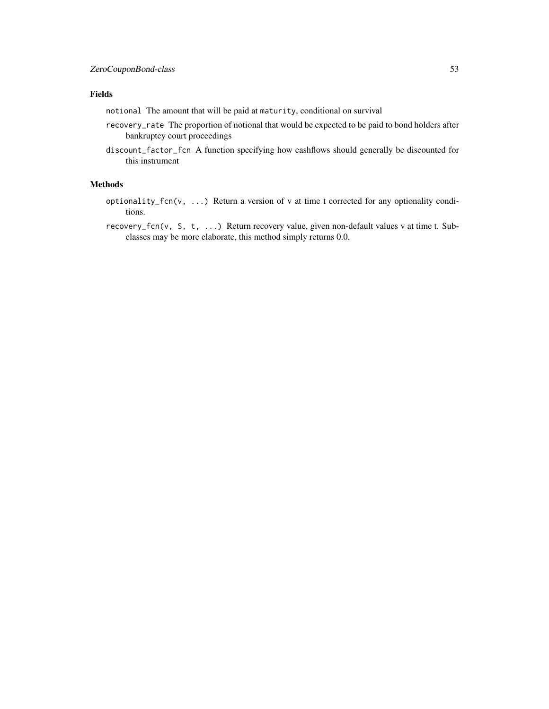### Fields

notional The amount that will be paid at maturity, conditional on survival

- recovery\_rate The proportion of notional that would be expected to be paid to bond holders after bankruptcy court proceedings
- discount\_factor\_fcn A function specifying how cashflows should generally be discounted for this instrument

#### Methods

optionality\_fcn(v, ...) Return a version of v at time t corrected for any optionality conditions.

recovery\_fcn(v, S, t, ...) Return recovery value, given non-default values v at time t. Subclasses may be more elaborate, this method simply returns 0.0.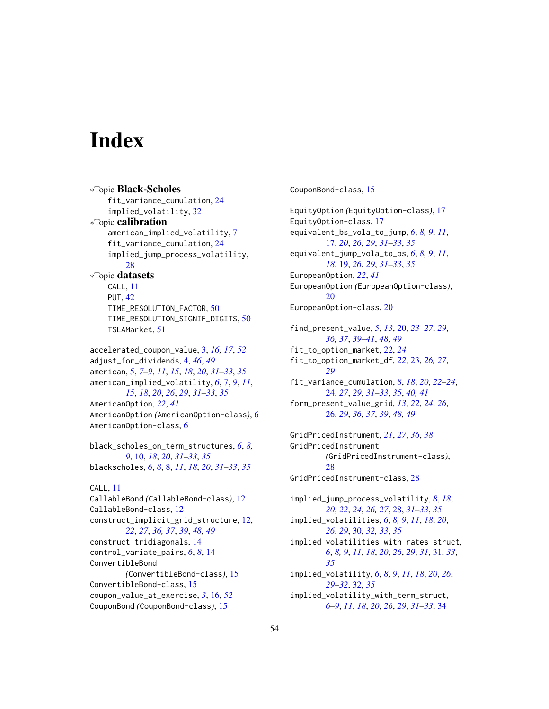# <span id="page-53-0"></span>**Index**

∗Topic Black-Scholes fit\_variance\_cumulation, [24](#page-23-0) implied\_volatility, [32](#page-31-0) ∗Topic calibration american\_implied\_volatility, [7](#page-6-0) fit\_variance\_cumulation, [24](#page-23-0) implied\_jump\_process\_volatility, [28](#page-27-0) ∗Topic datasets CALL, [11](#page-10-0) PUT, [42](#page-41-0) TIME\_RESOLUTION\_FACTOR, [50](#page-49-0) TIME\_RESOLUTION\_SIGNIF\_DIGITS, [50](#page-49-0) TSLAMarket, [51](#page-50-0) accelerated\_coupon\_value, [3,](#page-2-0) *[16,](#page-15-0) [17](#page-16-0)*, *[52](#page-51-0)* adjust\_for\_dividends, [4,](#page-3-0) *[46](#page-45-0)*, *[49](#page-48-0)* american, [5,](#page-4-0) *[7](#page-6-0)[–9](#page-8-0)*, *[11](#page-10-0)*, *[15](#page-14-0)*, *[18](#page-17-0)*, *[20](#page-19-0)*, *[31–](#page-30-0)[33](#page-32-0)*, *[35](#page-34-0)* american\_implied\_volatility, *[6](#page-5-0)*, [7,](#page-6-0) *[9](#page-8-0)*, *[11](#page-10-0)*, *[15](#page-14-0)*, *[18](#page-17-0)*, *[20](#page-19-0)*, *[26](#page-25-0)*, *[29](#page-28-0)*, *[31–](#page-30-0)[33](#page-32-0)*, *[35](#page-34-0)* AmericanOption, *[22](#page-21-0)*, *[41](#page-40-0)* AmericanOption *(*AmericanOption-class*)*, [6](#page-5-0) AmericanOption-class, [6](#page-5-0) black\_scholes\_on\_term\_structures, *[6](#page-5-0)*, *[8,](#page-7-0) [9](#page-8-0)*, [10,](#page-9-0) *[18](#page-17-0)*, *[20](#page-19-0)*, *[31–](#page-30-0)[33](#page-32-0)*, *[35](#page-34-0)* blackscholes, *[6](#page-5-0)*, *[8](#page-7-0)*, [8,](#page-7-0) *[11](#page-10-0)*, *[18](#page-17-0)*, *[20](#page-19-0)*, *[31–](#page-30-0)[33](#page-32-0)*, *[35](#page-34-0)* CALL, [11](#page-10-0) CallableBond *(*CallableBond-class*)*, [12](#page-11-0) CallableBond-class, [12](#page-11-0) construct\_implicit\_grid\_structure, [12,](#page-11-0) *[22](#page-21-0)*, *[27](#page-26-0)*, *[36,](#page-35-0) [37](#page-36-0)*, *[39](#page-38-0)*, *[48,](#page-47-0) [49](#page-48-0)* construct\_tridiagonals, [14](#page-13-0) control\_variate\_pairs, *[6](#page-5-0)*, *[8](#page-7-0)*, [14](#page-13-0) ConvertibleBond *(*ConvertibleBond-class*)*, [15](#page-14-0) ConvertibleBond-class, [15](#page-14-0)

coupon\_value\_at\_exercise, *[3](#page-2-0)*, [16,](#page-15-0) *[52](#page-51-0)* CouponBond *(*CouponBond-class*)*, [15](#page-14-0)

CouponBond-class, [15](#page-14-0)

EquityOption *(*EquityOption-class*)*, [17](#page-16-0) EquityOption-class, [17](#page-16-0) equivalent\_bs\_vola\_to\_jump, *[6](#page-5-0)*, *[8,](#page-7-0) [9](#page-8-0)*, *[11](#page-10-0)*, [17,](#page-16-0) *[20](#page-19-0)*, *[26](#page-25-0)*, *[29](#page-28-0)*, *[31](#page-30-0)[–33](#page-32-0)*, *[35](#page-34-0)* equivalent\_jump\_vola\_to\_bs, *[6](#page-5-0)*, *[8,](#page-7-0) [9](#page-8-0)*, *[11](#page-10-0)*, *[18](#page-17-0)*, [19,](#page-18-0) *[26](#page-25-0)*, *[29](#page-28-0)*, *[31](#page-30-0)[–33](#page-32-0)*, *[35](#page-34-0)* EuropeanOption, *[22](#page-21-0)*, *[41](#page-40-0)* EuropeanOption *(*EuropeanOption-class*)*, [20](#page-19-0) EuropeanOption-class, [20](#page-19-0) find\_present\_value, *[5](#page-4-0)*, *[13](#page-12-0)*, [20,](#page-19-0) *[23](#page-22-0)[–27](#page-26-0)*, *[29](#page-28-0)*, *[36,](#page-35-0) [37](#page-36-0)*, *[39](#page-38-0)[–41](#page-40-0)*, *[48,](#page-47-0) [49](#page-48-0)* fit\_to\_option\_market, [22,](#page-21-0) *[24](#page-23-0)* fit\_to\_option\_market\_df, *[22](#page-21-0)*, [23,](#page-22-0) *[26,](#page-25-0) [27](#page-26-0)*, *[29](#page-28-0)* fit\_variance\_cumulation, *[8](#page-7-0)*, *[18](#page-17-0)*, *[20](#page-19-0)*, *[22](#page-21-0)[–24](#page-23-0)*, [24,](#page-23-0) *[27](#page-26-0)*, *[29](#page-28-0)*, *[31](#page-30-0)[–33](#page-32-0)*, *[35](#page-34-0)*, *[40,](#page-39-0) [41](#page-40-0)* form\_present\_value\_grid, *[13](#page-12-0)*, *[22](#page-21-0)*, *[24](#page-23-0)*, *[26](#page-25-0)*, [26,](#page-25-0) *[29](#page-28-0)*, *[36,](#page-35-0) [37](#page-36-0)*, *[39](#page-38-0)*, *[48,](#page-47-0) [49](#page-48-0)* GridPricedInstrument, *[21](#page-20-0)*, *[27](#page-26-0)*, *[36](#page-35-0)*, *[38](#page-37-0)*

GridPricedInstrument *(*GridPricedInstrument-class*)*, [28](#page-27-0) GridPricedInstrument-class, [28](#page-27-0)

implied\_jump\_process\_volatility, *[8](#page-7-0)*, *[18](#page-17-0)*, *[20](#page-19-0)*, *[22](#page-21-0)*, *[24](#page-23-0)*, *[26,](#page-25-0) [27](#page-26-0)*, [28,](#page-27-0) *[31](#page-30-0)[–33](#page-32-0)*, *[35](#page-34-0)* implied\_volatilities, *[6](#page-5-0)*, *[8,](#page-7-0) [9](#page-8-0)*, *[11](#page-10-0)*, *[18](#page-17-0)*, *[20](#page-19-0)*, *[26](#page-25-0)*, *[29](#page-28-0)*, [30,](#page-29-0) *[32,](#page-31-0) [33](#page-32-0)*, *[35](#page-34-0)* implied\_volatilities\_with\_rates\_struct, *[6](#page-5-0)*, *[8,](#page-7-0) [9](#page-8-0)*, *[11](#page-10-0)*, *[18](#page-17-0)*, *[20](#page-19-0)*, *[26](#page-25-0)*, *[29](#page-28-0)*, *[31](#page-30-0)*, [31,](#page-30-0) *[33](#page-32-0)*, *[35](#page-34-0)* implied\_volatility, *[6](#page-5-0)*, *[8,](#page-7-0) [9](#page-8-0)*, *[11](#page-10-0)*, *[18](#page-17-0)*, *[20](#page-19-0)*, *[26](#page-25-0)*, *[29](#page-28-0)[–32](#page-31-0)*, [32,](#page-31-0) *[35](#page-34-0)* implied\_volatility\_with\_term\_struct, *[6](#page-5-0)[–9](#page-8-0)*, *[11](#page-10-0)*, *[18](#page-17-0)*, *[20](#page-19-0)*, *[26](#page-25-0)*, *[29](#page-28-0)*, *[31](#page-30-0)[–33](#page-32-0)*, [34](#page-33-0)